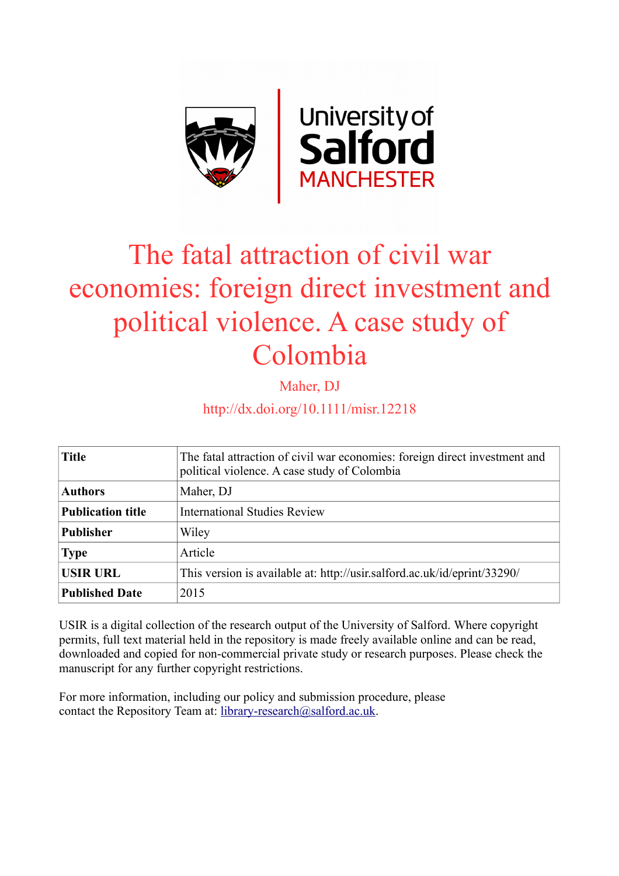

# The fatal attraction of civil war economies: foreign direct investment and political violence. A case study of Colombia

Maher, DJ

http://dx.doi.org/10.1111/misr.12218

| <b>Title</b>             | The fatal attraction of civil war economies: foreign direct investment and<br>political violence. A case study of Colombia |  |  |
|--------------------------|----------------------------------------------------------------------------------------------------------------------------|--|--|
| <b>Authors</b>           | Maher, DJ                                                                                                                  |  |  |
| <b>Publication title</b> | <b>International Studies Review</b>                                                                                        |  |  |
| <b>Publisher</b>         | Wiley                                                                                                                      |  |  |
| <b>Type</b>              | Article                                                                                                                    |  |  |
| <b>USIR URL</b>          | This version is available at: http://usir.salford.ac.uk/id/eprint/33290/                                                   |  |  |
| <b>Published Date</b>    | 2015                                                                                                                       |  |  |

USIR is a digital collection of the research output of the University of Salford. Where copyright permits, full text material held in the repository is made freely available online and can be read, downloaded and copied for non-commercial private study or research purposes. Please check the manuscript for any further copyright restrictions.

For more information, including our policy and submission procedure, please contact the Repository Team at: [library-research@salford.ac.uk.](mailto:library-research@salford.ac.uk)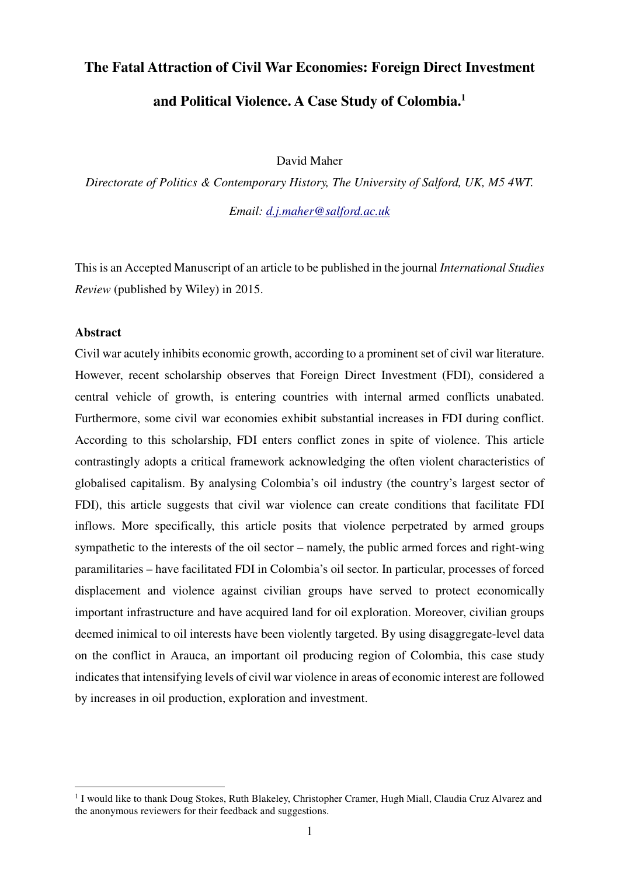# **The Fatal Attraction of Civil War Economies: Foreign Direct Investment and Political Violence. A Case Study of Colombia.<sup>1</sup>**

David Maher

*Directorate of Politics & Contemporary History, The University of Salford, UK, M5 4WT.* 

*Email: d.j.maher@salford.ac.uk*

This is an Accepted Manuscript of an article to be published in the journal *International Studies Review* (published by Wiley) in 2015.

#### **Abstract**

 $\overline{a}$ 

Civil war acutely inhibits economic growth, according to a prominent set of civil war literature. However, recent scholarship observes that Foreign Direct Investment (FDI), considered a central vehicle of growth, is entering countries with internal armed conflicts unabated. Furthermore, some civil war economies exhibit substantial increases in FDI during conflict. According to this scholarship, FDI enters conflict zones in spite of violence. This article contrastingly adopts a critical framework acknowledging the often violent characteristics of globalised capitalism. By analysing Colombia's oil industry (the country's largest sector of FDI), this article suggests that civil war violence can create conditions that facilitate FDI inflows. More specifically, this article posits that violence perpetrated by armed groups sympathetic to the interests of the oil sector – namely, the public armed forces and right-wing paramilitaries – have facilitated FDI in Colombia's oil sector. In particular, processes of forced displacement and violence against civilian groups have served to protect economically important infrastructure and have acquired land for oil exploration. Moreover, civilian groups deemed inimical to oil interests have been violently targeted. By using disaggregate-level data on the conflict in Arauca, an important oil producing region of Colombia, this case study indicates that intensifying levels of civil war violence in areas of economic interest are followed by increases in oil production, exploration and investment.

<sup>&</sup>lt;sup>1</sup> I would like to thank Doug Stokes, Ruth Blakeley, Christopher Cramer, Hugh Miall, Claudia Cruz Alvarez and the anonymous reviewers for their feedback and suggestions.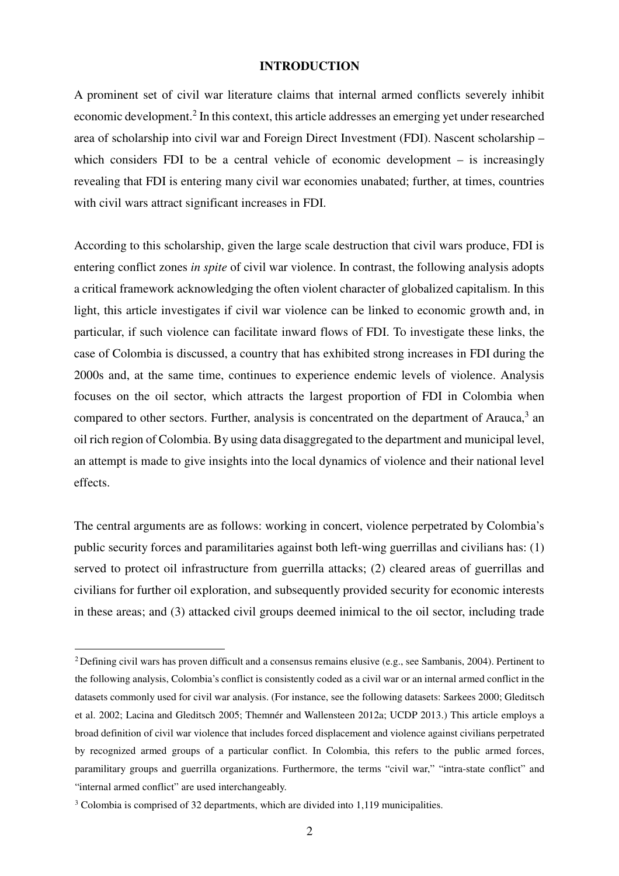#### **INTRODUCTION**

A prominent set of civil war literature claims that internal armed conflicts severely inhibit economic development.<sup>2</sup> In this context, this article addresses an emerging yet under researched area of scholarship into civil war and Foreign Direct Investment (FDI). Nascent scholarship – which considers FDI to be a central vehicle of economic development – is increasingly revealing that FDI is entering many civil war economies unabated; further, at times, countries with civil wars attract significant increases in FDI.

According to this scholarship, given the large scale destruction that civil wars produce, FDI is entering conflict zones *in spite* of civil war violence. In contrast, the following analysis adopts a critical framework acknowledging the often violent character of globalized capitalism. In this light, this article investigates if civil war violence can be linked to economic growth and, in particular, if such violence can facilitate inward flows of FDI. To investigate these links, the case of Colombia is discussed, a country that has exhibited strong increases in FDI during the 2000s and, at the same time, continues to experience endemic levels of violence. Analysis focuses on the oil sector, which attracts the largest proportion of FDI in Colombia when compared to other sectors. Further, analysis is concentrated on the department of Arauca, $3$  an oil rich region of Colombia. By using data disaggregated to the department and municipal level, an attempt is made to give insights into the local dynamics of violence and their national level effects.

The central arguments are as follows: working in concert, violence perpetrated by Colombia's public security forces and paramilitaries against both left-wing guerrillas and civilians has: (1) served to protect oil infrastructure from guerrilla attacks; (2) cleared areas of guerrillas and civilians for further oil exploration, and subsequently provided security for economic interests in these areas; and (3) attacked civil groups deemed inimical to the oil sector, including trade

<sup>&</sup>lt;sup>2</sup> Defining civil wars has proven difficult and a consensus remains elusive (e.g., see Sambanis, 2004). Pertinent to the following analysis, Colombia's conflict is consistently coded as a civil war or an internal armed conflict in the datasets commonly used for civil war analysis. (For instance, see the following datasets: Sarkees 2000; Gleditsch et al. 2002; Lacina and Gleditsch 2005; Themnér and Wallensteen 2012a; UCDP 2013.) This article employs a broad definition of civil war violence that includes forced displacement and violence against civilians perpetrated by recognized armed groups of a particular conflict. In Colombia, this refers to the public armed forces, paramilitary groups and guerrilla organizations. Furthermore, the terms "civil war," "intra-state conflict" and "internal armed conflict" are used interchangeably.

 $3$  Colombia is comprised of 32 departments, which are divided into 1,119 municipalities.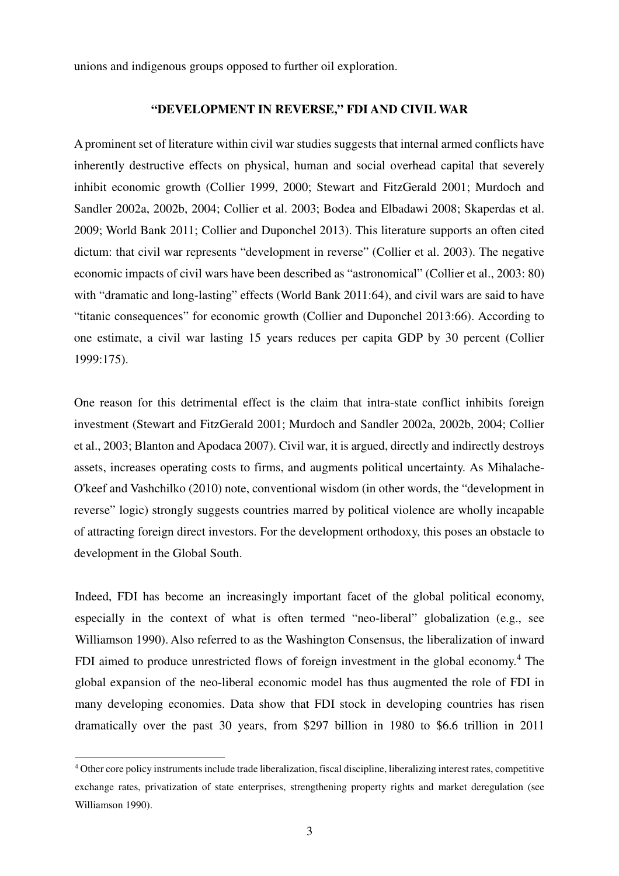unions and indigenous groups opposed to further oil exploration.

#### **"DEVELOPMENT IN REVERSE," FDI AND CIVIL WAR**

A prominent set of literature within civil war studies suggests that internal armed conflicts have inherently destructive effects on physical, human and social overhead capital that severely inhibit economic growth (Collier 1999, 2000; Stewart and FitzGerald 2001; Murdoch and Sandler 2002a, 2002b, 2004; Collier et al. 2003; Bodea and Elbadawi 2008; Skaperdas et al. 2009; World Bank 2011; Collier and Duponchel 2013). This literature supports an often cited dictum: that civil war represents "development in reverse" (Collier et al. 2003). The negative economic impacts of civil wars have been described as "astronomical" (Collier et al., 2003: 80) with "dramatic and long-lasting" effects (World Bank 2011:64), and civil wars are said to have "titanic consequences" for economic growth (Collier and Duponchel 2013:66). According to one estimate, a civil war lasting 15 years reduces per capita GDP by 30 percent (Collier 1999:175).

One reason for this detrimental effect is the claim that intra-state conflict inhibits foreign investment (Stewart and FitzGerald 2001; Murdoch and Sandler 2002a, 2002b, 2004; Collier et al., 2003; Blanton and Apodaca 2007). Civil war, it is argued, directly and indirectly destroys assets, increases operating costs to firms, and augments political uncertainty. As Mihalache-O'keef and Vashchilko (2010) note, conventional wisdom (in other words, the "development in reverse" logic) strongly suggests countries marred by political violence are wholly incapable of attracting foreign direct investors. For the development orthodoxy, this poses an obstacle to development in the Global South.

Indeed, FDI has become an increasingly important facet of the global political economy, especially in the context of what is often termed "neo-liberal" globalization (e.g., see Williamson 1990). Also referred to as the Washington Consensus, the liberalization of inward FDI aimed to produce unrestricted flows of foreign investment in the global economy.<sup>4</sup> The global expansion of the neo-liberal economic model has thus augmented the role of FDI in many developing economies. Data show that FDI stock in developing countries has risen dramatically over the past 30 years, from \$297 billion in 1980 to \$6.6 trillion in 2011

<sup>4</sup> Other core policy instruments include trade liberalization, fiscal discipline, liberalizing interest rates, competitive exchange rates, privatization of state enterprises, strengthening property rights and market deregulation (see Williamson 1990).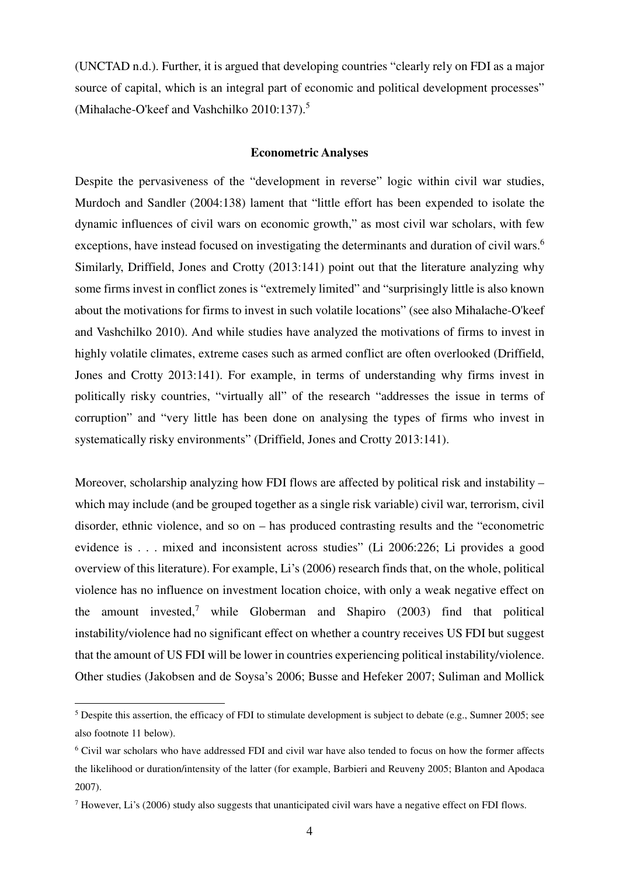(UNCTAD n.d.). Further, it is argued that developing countries "clearly rely on FDI as a major source of capital, which is an integral part of economic and political development processes" (Mihalache-O'keef and Vashchilko 2010:137).<sup>5</sup>

#### **Econometric Analyses**

Despite the pervasiveness of the "development in reverse" logic within civil war studies, Murdoch and Sandler (2004:138) lament that "little effort has been expended to isolate the dynamic influences of civil wars on economic growth," as most civil war scholars, with few exceptions, have instead focused on investigating the determinants and duration of civil wars.<sup>6</sup> Similarly, Driffield, Jones and Crotty (2013:141) point out that the literature analyzing why some firms invest in conflict zones is "extremely limited" and "surprisingly little is also known about the motivations for firms to invest in such volatile locations" (see also Mihalache-O'keef and Vashchilko 2010). And while studies have analyzed the motivations of firms to invest in highly volatile climates, extreme cases such as armed conflict are often overlooked (Driffield, Jones and Crotty 2013:141). For example, in terms of understanding why firms invest in politically risky countries, "virtually all" of the research "addresses the issue in terms of corruption" and "very little has been done on analysing the types of firms who invest in systematically risky environments" (Driffield, Jones and Crotty 2013:141).

Moreover, scholarship analyzing how FDI flows are affected by political risk and instability – which may include (and be grouped together as a single risk variable) civil war, terrorism, civil disorder, ethnic violence, and so on – has produced contrasting results and the "econometric evidence is . . . mixed and inconsistent across studies" (Li 2006:226; Li provides a good overview of this literature). For example, Li's (2006) research finds that, on the whole, political violence has no influence on investment location choice, with only a weak negative effect on the amount invested,<sup>7</sup> while Globerman and Shapiro  $(2003)$  find that political instability/violence had no significant effect on whether a country receives US FDI but suggest that the amount of US FDI will be lower in countries experiencing political instability/violence. Other studies (Jakobsen and de Soysa's 2006; Busse and Hefeker 2007; Suliman and Mollick

<sup>&</sup>lt;sup>5</sup> Despite this assertion, the efficacy of FDI to stimulate development is subject to debate (e.g., Sumner 2005; see also footnote 11 below).

<sup>6</sup> Civil war scholars who have addressed FDI and civil war have also tended to focus on how the former affects the likelihood or duration/intensity of the latter (for example, Barbieri and Reuveny 2005; Blanton and Apodaca 2007).

<sup>&</sup>lt;sup>7</sup> However, Li's (2006) study also suggests that unanticipated civil wars have a negative effect on FDI flows.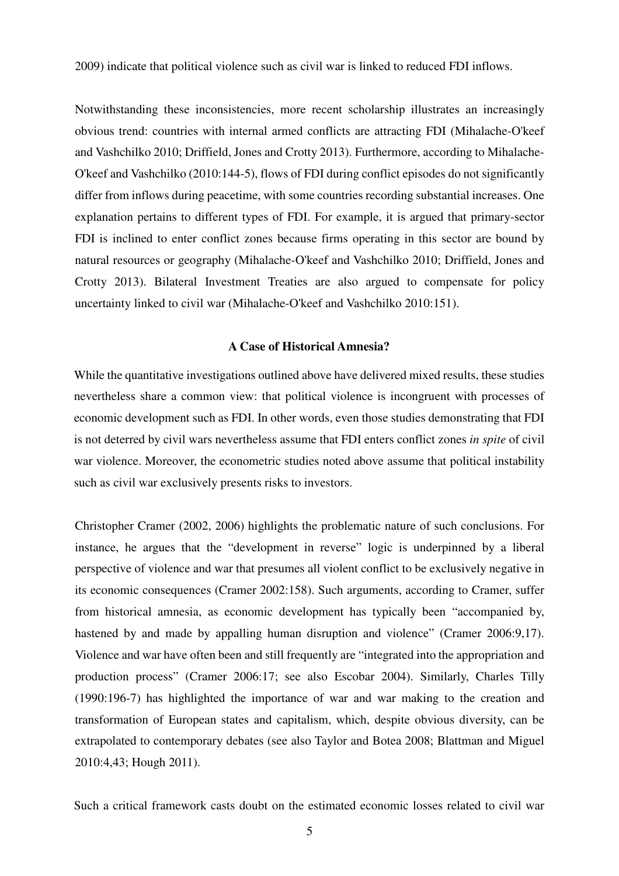2009) indicate that political violence such as civil war is linked to reduced FDI inflows.

Notwithstanding these inconsistencies, more recent scholarship illustrates an increasingly obvious trend: countries with internal armed conflicts are attracting FDI (Mihalache-O'keef and Vashchilko 2010; Driffield, Jones and Crotty 2013). Furthermore, according to Mihalache-O'keef and Vashchilko (2010:144-5), flows of FDI during conflict episodes do not significantly differ from inflows during peacetime, with some countries recording substantial increases. One explanation pertains to different types of FDI. For example, it is argued that primary-sector FDI is inclined to enter conflict zones because firms operating in this sector are bound by natural resources or geography (Mihalache-O'keef and Vashchilko 2010; Driffield, Jones and Crotty 2013). Bilateral Investment Treaties are also argued to compensate for policy uncertainty linked to civil war (Mihalache-O'keef and Vashchilko 2010:151).

#### **A Case of Historical Amnesia?**

While the quantitative investigations outlined above have delivered mixed results, these studies nevertheless share a common view: that political violence is incongruent with processes of economic development such as FDI. In other words, even those studies demonstrating that FDI is not deterred by civil wars nevertheless assume that FDI enters conflict zones *in spite* of civil war violence. Moreover, the econometric studies noted above assume that political instability such as civil war exclusively presents risks to investors.

Christopher Cramer (2002, 2006) highlights the problematic nature of such conclusions. For instance, he argues that the "development in reverse" logic is underpinned by a liberal perspective of violence and war that presumes all violent conflict to be exclusively negative in its economic consequences (Cramer 2002:158). Such arguments, according to Cramer, suffer from historical amnesia, as economic development has typically been "accompanied by, hastened by and made by appalling human disruption and violence" (Cramer 2006:9,17). Violence and war have often been and still frequently are "integrated into the appropriation and production process" (Cramer 2006:17; see also Escobar 2004). Similarly, Charles Tilly (1990:196-7) has highlighted the importance of war and war making to the creation and transformation of European states and capitalism, which, despite obvious diversity, can be extrapolated to contemporary debates (see also Taylor and Botea 2008; Blattman and Miguel 2010:4,43; Hough 2011).

Such a critical framework casts doubt on the estimated economic losses related to civil war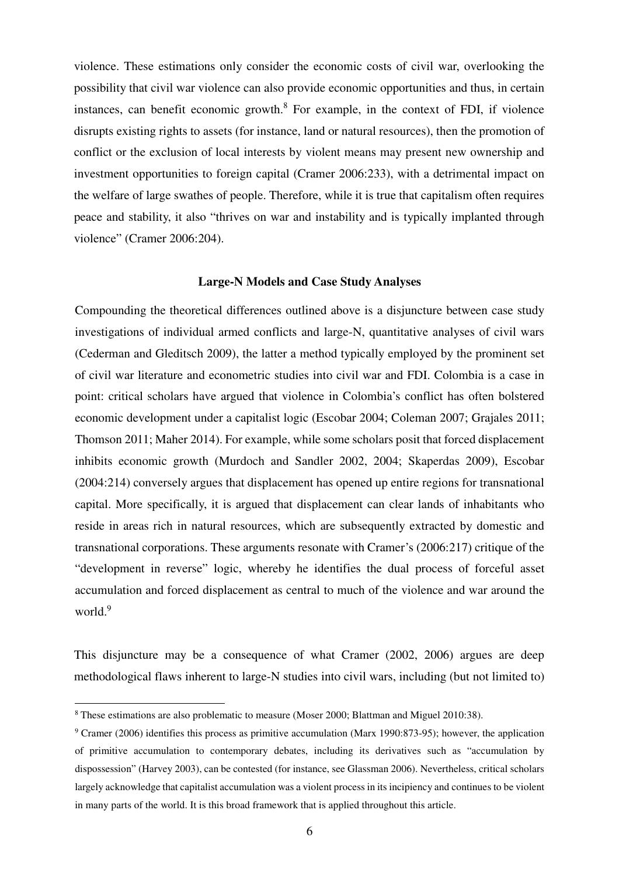violence. These estimations only consider the economic costs of civil war, overlooking the possibility that civil war violence can also provide economic opportunities and thus, in certain instances, can benefit economic growth. $8$  For example, in the context of FDI, if violence disrupts existing rights to assets (for instance, land or natural resources), then the promotion of conflict or the exclusion of local interests by violent means may present new ownership and investment opportunities to foreign capital (Cramer 2006:233), with a detrimental impact on the welfare of large swathes of people. Therefore, while it is true that capitalism often requires peace and stability, it also "thrives on war and instability and is typically implanted through violence" (Cramer 2006:204).

#### **Large-N Models and Case Study Analyses**

Compounding the theoretical differences outlined above is a disjuncture between case study investigations of individual armed conflicts and large-N, quantitative analyses of civil wars (Cederman and Gleditsch 2009), the latter a method typically employed by the prominent set of civil war literature and econometric studies into civil war and FDI. Colombia is a case in point: critical scholars have argued that violence in Colombia's conflict has often bolstered economic development under a capitalist logic (Escobar 2004; Coleman 2007; Grajales 2011; Thomson 2011; Maher 2014). For example, while some scholars posit that forced displacement inhibits economic growth (Murdoch and Sandler 2002, 2004; Skaperdas 2009), Escobar (2004:214) conversely argues that displacement has opened up entire regions for transnational capital. More specifically, it is argued that displacement can clear lands of inhabitants who reside in areas rich in natural resources, which are subsequently extracted by domestic and transnational corporations. These arguments resonate with Cramer's (2006:217) critique of the "development in reverse" logic, whereby he identifies the dual process of forceful asset accumulation and forced displacement as central to much of the violence and war around the world.<sup>9</sup>

This disjuncture may be a consequence of what Cramer (2002, 2006) argues are deep methodological flaws inherent to large-N studies into civil wars, including (but not limited to)

<sup>8</sup> These estimations are also problematic to measure (Moser 2000; Blattman and Miguel 2010:38).

<sup>&</sup>lt;sup>9</sup> Cramer (2006) identifies this process as primitive accumulation (Marx 1990:873-95); however, the application of primitive accumulation to contemporary debates, including its derivatives such as "accumulation by dispossession" (Harvey 2003), can be contested (for instance, see Glassman 2006). Nevertheless, critical scholars largely acknowledge that capitalist accumulation was a violent process in its incipiency and continues to be violent in many parts of the world. It is this broad framework that is applied throughout this article.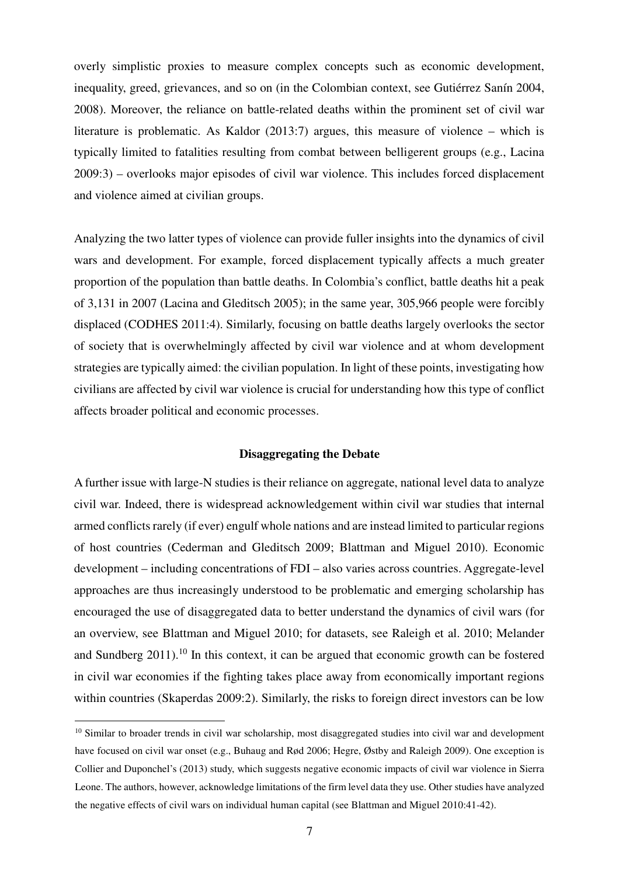overly simplistic proxies to measure complex concepts such as economic development, inequality, greed, grievances, and so on (in the Colombian context, see Gutiérrez Sanín 2004, 2008). Moreover, the reliance on battle-related deaths within the prominent set of civil war literature is problematic. As Kaldor (2013:7) argues, this measure of violence – which is typically limited to fatalities resulting from combat between belligerent groups (e.g., Lacina 2009:3) – overlooks major episodes of civil war violence. This includes forced displacement and violence aimed at civilian groups.

Analyzing the two latter types of violence can provide fuller insights into the dynamics of civil wars and development. For example, forced displacement typically affects a much greater proportion of the population than battle deaths. In Colombia's conflict, battle deaths hit a peak of 3,131 in 2007 (Lacina and Gleditsch 2005); in the same year, 305,966 people were forcibly displaced (CODHES 2011:4). Similarly, focusing on battle deaths largely overlooks the sector of society that is overwhelmingly affected by civil war violence and at whom development strategies are typically aimed: the civilian population. In light of these points, investigating how civilians are affected by civil war violence is crucial for understanding how this type of conflict affects broader political and economic processes.

#### **Disaggregating the Debate**

A further issue with large-N studies is their reliance on aggregate, national level data to analyze civil war. Indeed, there is widespread acknowledgement within civil war studies that internal armed conflicts rarely (if ever) engulf whole nations and are instead limited to particular regions of host countries (Cederman and Gleditsch 2009; Blattman and Miguel 2010). Economic development – including concentrations of FDI – also varies across countries. Aggregate-level approaches are thus increasingly understood to be problematic and emerging scholarship has encouraged the use of disaggregated data to better understand the dynamics of civil wars (for an overview, see Blattman and Miguel 2010; for datasets, see Raleigh et al. 2010; Melander and Sundberg 2011).<sup>10</sup> In this context, it can be argued that economic growth can be fostered in civil war economies if the fighting takes place away from economically important regions within countries (Skaperdas 2009:2). Similarly, the risks to foreign direct investors can be low

<sup>&</sup>lt;sup>10</sup> Similar to broader trends in civil war scholarship, most disaggregated studies into civil war and development have focused on civil war onset (e.g., Buhaug and Rød 2006; Hegre, Østby and Raleigh 2009). One exception is Collier and Duponchel's (2013) study, which suggests negative economic impacts of civil war violence in Sierra Leone. The authors, however, acknowledge limitations of the firm level data they use. Other studies have analyzed the negative effects of civil wars on individual human capital (see Blattman and Miguel 2010:41-42).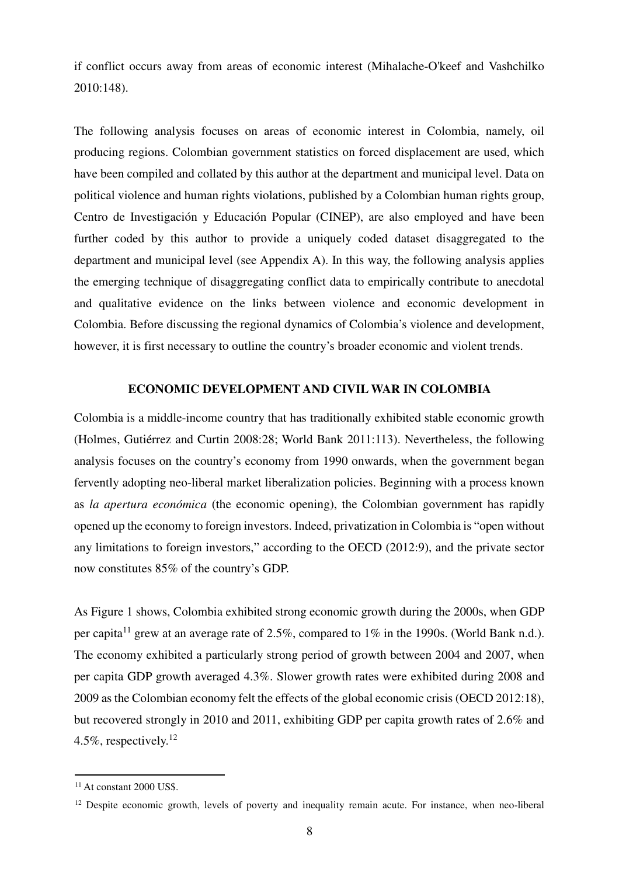if conflict occurs away from areas of economic interest (Mihalache-O'keef and Vashchilko 2010:148).

The following analysis focuses on areas of economic interest in Colombia, namely, oil producing regions. Colombian government statistics on forced displacement are used, which have been compiled and collated by this author at the department and municipal level. Data on political violence and human rights violations, published by a Colombian human rights group, Centro de Investigación y Educación Popular (CINEP), are also employed and have been further coded by this author to provide a uniquely coded dataset disaggregated to the department and municipal level (see Appendix A). In this way, the following analysis applies the emerging technique of disaggregating conflict data to empirically contribute to anecdotal and qualitative evidence on the links between violence and economic development in Colombia. Before discussing the regional dynamics of Colombia's violence and development, however, it is first necessary to outline the country's broader economic and violent trends.

#### **ECONOMIC DEVELOPMENT AND CIVIL WAR IN COLOMBIA**

Colombia is a middle-income country that has traditionally exhibited stable economic growth (Holmes, Gutiérrez and Curtin 2008:28; World Bank 2011:113). Nevertheless, the following analysis focuses on the country's economy from 1990 onwards, when the government began fervently adopting neo-liberal market liberalization policies. Beginning with a process known as *la apertura económica* (the economic opening), the Colombian government has rapidly opened up the economy to foreign investors. Indeed, privatization in Colombia is "open without any limitations to foreign investors," according to the OECD (2012:9), and the private sector now constitutes 85% of the country's GDP.

As Figure 1 shows, Colombia exhibited strong economic growth during the 2000s, when GDP per capita<sup>11</sup> grew at an average rate of 2.5%, compared to 1% in the 1990s. (World Bank n.d.). The economy exhibited a particularly strong period of growth between 2004 and 2007, when per capita GDP growth averaged 4.3%. Slower growth rates were exhibited during 2008 and 2009 as the Colombian economy felt the effects of the global economic crisis (OECD 2012:18), but recovered strongly in 2010 and 2011, exhibiting GDP per capita growth rates of 2.6% and 4.5%, respectively. $12$ 

 $11$  At constant 2000 US\$.

 $12$  Despite economic growth, levels of poverty and inequality remain acute. For instance, when neo-liberal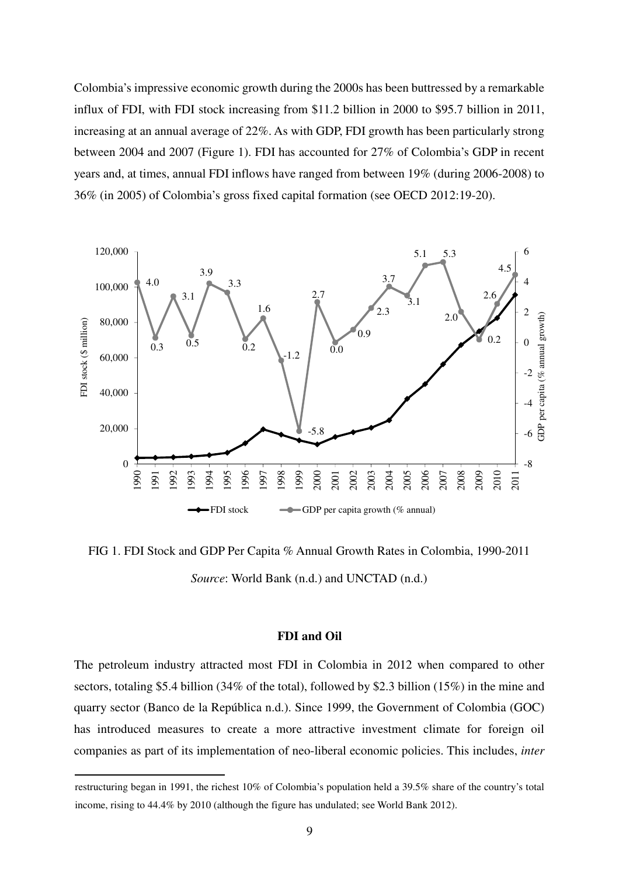Colombia's impressive economic growth during the 2000s has been buttressed by a remarkable influx of FDI, with FDI stock increasing from \$11.2 billion in 2000 to \$95.7 billion in 2011, increasing at an annual average of 22%. As with GDP, FDI growth has been particularly strong between 2004 and 2007 (Figure 1). FDI has accounted for 27% of Colombia's GDP in recent years and, at times, annual FDI inflows have ranged from between 19% (during 2006-2008) to 36% (in 2005) of Colombia's gross fixed capital formation (see OECD 2012:19-20).



FIG 1. FDI Stock and GDP Per Capita % Annual Growth Rates in Colombia, 1990-2011 *Source*: World Bank (n.d.) and UNCTAD (n.d.)

#### **FDI and Oil**

The petroleum industry attracted most FDI in Colombia in 2012 when compared to other sectors, totaling \$5.4 billion (34% of the total), followed by \$2.3 billion (15%) in the mine and quarry sector (Banco de la República n.d.). Since 1999, the Government of Colombia (GOC) has introduced measures to create a more attractive investment climate for foreign oil companies as part of its implementation of neo-liberal economic policies. This includes, *inter* 

restructuring began in 1991, the richest 10% of Colombia's population held a 39.5% share of the country's total income, rising to 44.4% by 2010 (although the figure has undulated; see World Bank 2012).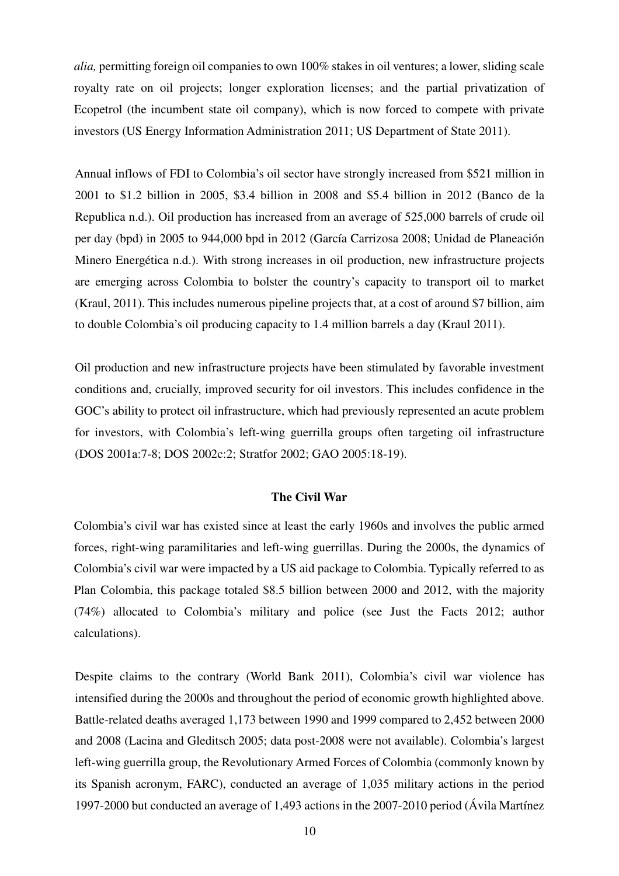*alia,* permitting foreign oil companies to own 100% stakes in oil ventures; a lower, sliding scale royalty rate on oil projects; longer exploration licenses; and the partial privatization of Ecopetrol (the incumbent state oil company), which is now forced to compete with private investors (US Energy Information Administration 2011; US Department of State 2011).

Annual inflows of FDI to Colombia's oil sector have strongly increased from \$521 million in 2001 to \$1.2 billion in 2005, \$3.4 billion in 2008 and \$5.4 billion in 2012 (Banco de la Republica n.d.). Oil production has increased from an average of 525,000 barrels of crude oil per day (bpd) in 2005 to 944,000 bpd in 2012 (García Carrizosa 2008; Unidad de Planeación Minero Energética n.d.). With strong increases in oil production, new infrastructure projects are emerging across Colombia to bolster the country's capacity to transport oil to market (Kraul, 2011). This includes numerous pipeline projects that, at a cost of around \$7 billion, aim to double Colombia's oil producing capacity to 1.4 million barrels a day (Kraul 2011).

Oil production and new infrastructure projects have been stimulated by favorable investment conditions and, crucially, improved security for oil investors. This includes confidence in the GOC's ability to protect oil infrastructure, which had previously represented an acute problem for investors, with Colombia's left-wing guerrilla groups often targeting oil infrastructure (DOS 2001a:7-8; DOS 2002c:2; Stratfor 2002; GAO 2005:18-19).

#### **The Civil War**

Colombia's civil war has existed since at least the early 1960s and involves the public armed forces, right-wing paramilitaries and left-wing guerrillas. During the 2000s, the dynamics of Colombia's civil war were impacted by a US aid package to Colombia. Typically referred to as Plan Colombia, this package totaled \$8.5 billion between 2000 and 2012, with the majority (74%) allocated to Colombia's military and police (see Just the Facts 2012; author calculations).

Despite claims to the contrary (World Bank 2011), Colombia's civil war violence has intensified during the 2000s and throughout the period of economic growth highlighted above. Battle-related deaths averaged 1,173 between 1990 and 1999 compared to 2,452 between 2000 and 2008 (Lacina and Gleditsch 2005; data post-2008 were not available). Colombia's largest left-wing guerrilla group, the Revolutionary Armed Forces of Colombia (commonly known by its Spanish acronym, FARC), conducted an average of 1,035 military actions in the period 1997-2000 but conducted an average of 1,493 actions in the 2007-2010 period (Ávila Martínez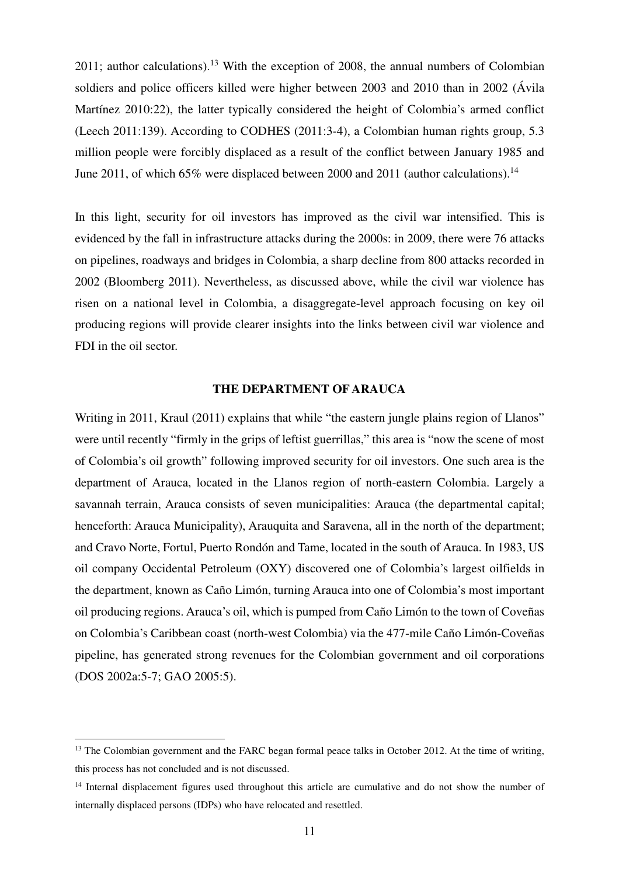$2011$ ; author calculations).<sup>13</sup> With the exception of 2008, the annual numbers of Colombian soldiers and police officers killed were higher between 2003 and 2010 than in 2002 (Ávila Martínez 2010:22), the latter typically considered the height of Colombia's armed conflict (Leech 2011:139). According to CODHES (2011:3-4), a Colombian human rights group, 5.3 million people were forcibly displaced as a result of the conflict between January 1985 and June 2011, of which 65% were displaced between 2000 and 2011 (author calculations).<sup>14</sup>

In this light, security for oil investors has improved as the civil war intensified. This is evidenced by the fall in infrastructure attacks during the 2000s: in 2009, there were 76 attacks on pipelines, roadways and bridges in Colombia, a sharp decline from 800 attacks recorded in 2002 (Bloomberg 2011). Nevertheless, as discussed above, while the civil war violence has risen on a national level in Colombia, a disaggregate-level approach focusing on key oil producing regions will provide clearer insights into the links between civil war violence and FDI in the oil sector.

#### **THE DEPARTMENT OF ARAUCA**

Writing in 2011, Kraul (2011) explains that while "the eastern jungle plains region of Llanos" were until recently "firmly in the grips of leftist guerrillas," this area is "now the scene of most of Colombia's oil growth" following improved security for oil investors. One such area is the department of Arauca, located in the Llanos region of north-eastern Colombia. Largely a savannah terrain, Arauca consists of seven municipalities: Arauca (the departmental capital; henceforth: Arauca Municipality), Arauquita and Saravena, all in the north of the department; and Cravo Norte, Fortul, Puerto Rondón and Tame, located in the south of Arauca. In 1983, US oil company Occidental Petroleum (OXY) discovered one of Colombia's largest oilfields in the department, known as Caño Limón, turning Arauca into one of Colombia's most important oil producing regions. Arauca's oil, which is pumped from Caño Limón to the town of Coveñas on Colombia's Caribbean coast (north-west Colombia) via the 477-mile Caño Limón-Coveñas pipeline, has generated strong revenues for the Colombian government and oil corporations (DOS 2002a:5-7; GAO 2005:5).

<sup>&</sup>lt;sup>13</sup> The Colombian government and the FARC began formal peace talks in October 2012. At the time of writing, this process has not concluded and is not discussed.

<sup>&</sup>lt;sup>14</sup> Internal displacement figures used throughout this article are cumulative and do not show the number of internally displaced persons (IDPs) who have relocated and resettled.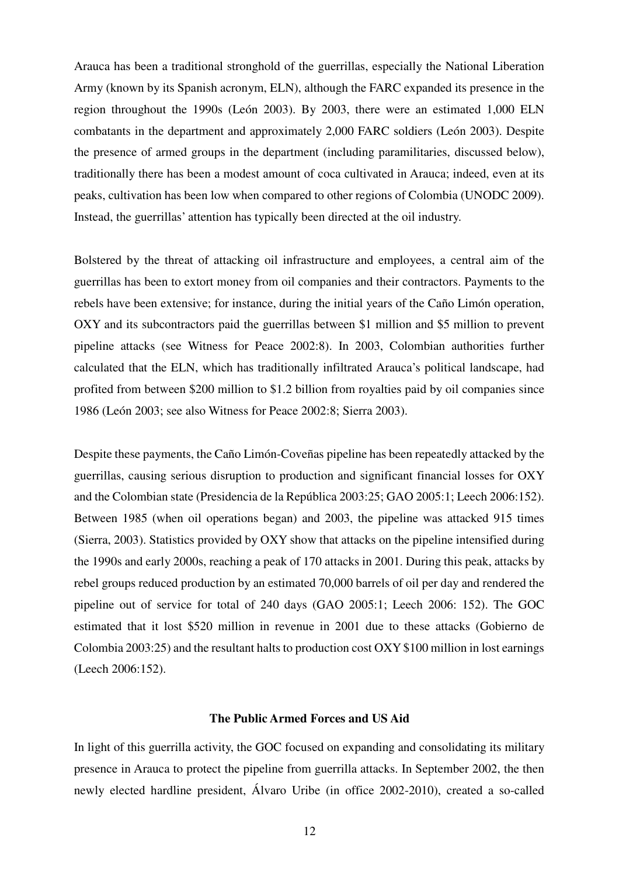Arauca has been a traditional stronghold of the guerrillas, especially the National Liberation Army (known by its Spanish acronym, ELN), although the FARC expanded its presence in the region throughout the 1990s (León 2003). By 2003, there were an estimated 1,000 ELN combatants in the department and approximately 2,000 FARC soldiers (León 2003). Despite the presence of armed groups in the department (including paramilitaries, discussed below), traditionally there has been a modest amount of coca cultivated in Arauca; indeed, even at its peaks, cultivation has been low when compared to other regions of Colombia (UNODC 2009). Instead, the guerrillas' attention has typically been directed at the oil industry.

Bolstered by the threat of attacking oil infrastructure and employees, a central aim of the guerrillas has been to extort money from oil companies and their contractors. Payments to the rebels have been extensive; for instance, during the initial years of the Caño Limón operation, OXY and its subcontractors paid the guerrillas between \$1 million and \$5 million to prevent pipeline attacks (see Witness for Peace 2002:8). In 2003, Colombian authorities further calculated that the ELN, which has traditionally infiltrated Arauca's political landscape, had profited from between \$200 million to \$1.2 billion from royalties paid by oil companies since 1986 (León 2003; see also Witness for Peace 2002:8; Sierra 2003).

Despite these payments, the Caño Limón-Coveñas pipeline has been repeatedly attacked by the guerrillas, causing serious disruption to production and significant financial losses for OXY and the Colombian state (Presidencia de la República 2003:25; GAO 2005:1; Leech 2006:152). Between 1985 (when oil operations began) and 2003, the pipeline was attacked 915 times (Sierra, 2003). Statistics provided by OXY show that attacks on the pipeline intensified during the 1990s and early 2000s, reaching a peak of 170 attacks in 2001. During this peak, attacks by rebel groups reduced production by an estimated 70,000 barrels of oil per day and rendered the pipeline out of service for total of 240 days (GAO 2005:1; Leech 2006: 152). The GOC estimated that it lost \$520 million in revenue in 2001 due to these attacks (Gobierno de Colombia 2003:25) and the resultant halts to production cost OXY \$100 million in lost earnings (Leech 2006:152).

#### **The Public Armed Forces and US Aid**

In light of this guerrilla activity, the GOC focused on expanding and consolidating its military presence in Arauca to protect the pipeline from guerrilla attacks. In September 2002, the then newly elected hardline president, Álvaro Uribe (in office 2002-2010), created a so-called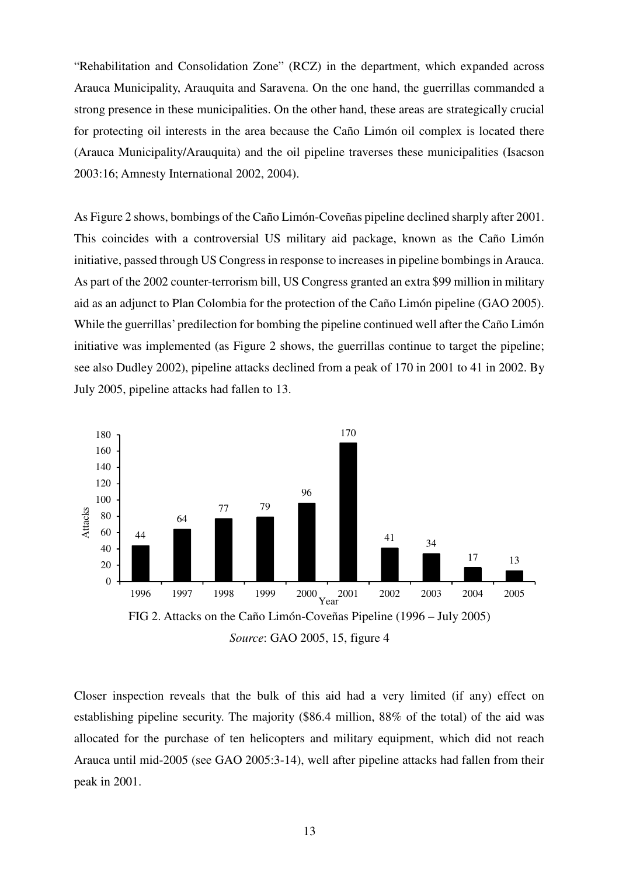"Rehabilitation and Consolidation Zone" (RCZ) in the department, which expanded across Arauca Municipality, Arauquita and Saravena. On the one hand, the guerrillas commanded a strong presence in these municipalities. On the other hand, these areas are strategically crucial for protecting oil interests in the area because the Caño Limón oil complex is located there (Arauca Municipality/Arauquita) and the oil pipeline traverses these municipalities (Isacson 2003:16; Amnesty International 2002, 2004).

As Figure 2 shows, bombings of the Caño Limón-Coveñas pipeline declined sharply after 2001. This coincides with a controversial US military aid package, known as the Caño Limón initiative, passed through US Congress in response to increases in pipeline bombings in Arauca. As part of the 2002 counter-terrorism bill, US Congress granted an extra \$99 million in military aid as an adjunct to Plan Colombia for the protection of the Caño Limón pipeline (GAO 2005). While the guerrillas' predilection for bombing the pipeline continued well after the Caño Limón initiative was implemented (as Figure 2 shows, the guerrillas continue to target the pipeline; see also Dudley 2002), pipeline attacks declined from a peak of 170 in 2001 to 41 in 2002. By July 2005, pipeline attacks had fallen to 13.



Closer inspection reveals that the bulk of this aid had a very limited (if any) effect on establishing pipeline security. The majority (\$86.4 million, 88% of the total) of the aid was allocated for the purchase of ten helicopters and military equipment, which did not reach Arauca until mid-2005 (see GAO 2005:3-14), well after pipeline attacks had fallen from their peak in 2001.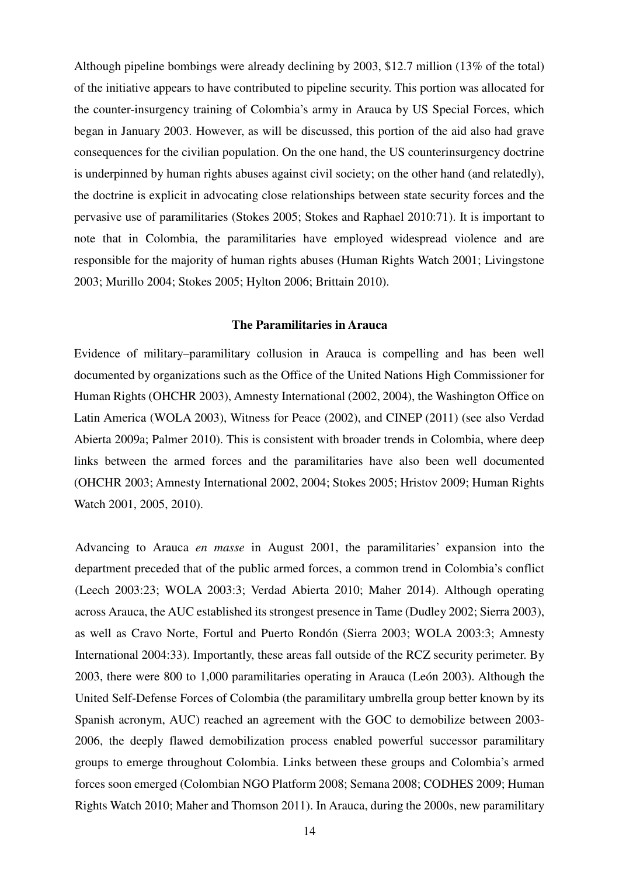Although pipeline bombings were already declining by 2003, \$12.7 million (13% of the total) of the initiative appears to have contributed to pipeline security. This portion was allocated for the counter-insurgency training of Colombia's army in Arauca by US Special Forces, which began in January 2003. However, as will be discussed, this portion of the aid also had grave consequences for the civilian population. On the one hand, the US counterinsurgency doctrine is underpinned by human rights abuses against civil society; on the other hand (and relatedly), the doctrine is explicit in advocating close relationships between state security forces and the pervasive use of paramilitaries (Stokes 2005; Stokes and Raphael 2010:71). It is important to note that in Colombia, the paramilitaries have employed widespread violence and are responsible for the majority of human rights abuses (Human Rights Watch 2001; Livingstone 2003; Murillo 2004; Stokes 2005; Hylton 2006; Brittain 2010).

#### **The Paramilitaries in Arauca**

Evidence of military–paramilitary collusion in Arauca is compelling and has been well documented by organizations such as the Office of the United Nations High Commissioner for Human Rights (OHCHR 2003), Amnesty International (2002, 2004), the Washington Office on Latin America (WOLA 2003), Witness for Peace (2002), and CINEP (2011) (see also Verdad Abierta 2009a; Palmer 2010). This is consistent with broader trends in Colombia, where deep links between the armed forces and the paramilitaries have also been well documented (OHCHR 2003; Amnesty International 2002, 2004; Stokes 2005; Hristov 2009; Human Rights Watch 2001, 2005, 2010).

Advancing to Arauca *en masse* in August 2001, the paramilitaries' expansion into the department preceded that of the public armed forces, a common trend in Colombia's conflict (Leech 2003:23; WOLA 2003:3; Verdad Abierta 2010; Maher 2014). Although operating across Arauca, the AUC established its strongest presence in Tame (Dudley 2002; Sierra 2003), as well as Cravo Norte, Fortul and Puerto Rondón (Sierra 2003; WOLA 2003:3; Amnesty International 2004:33). Importantly, these areas fall outside of the RCZ security perimeter. By 2003, there were 800 to 1,000 paramilitaries operating in Arauca (León 2003). Although the United Self-Defense Forces of Colombia (the paramilitary umbrella group better known by its Spanish acronym, AUC) reached an agreement with the GOC to demobilize between 2003- 2006, the deeply flawed demobilization process enabled powerful successor paramilitary groups to emerge throughout Colombia. Links between these groups and Colombia's armed forces soon emerged (Colombian NGO Platform 2008; Semana 2008; CODHES 2009; Human Rights Watch 2010; Maher and Thomson 2011). In Arauca, during the 2000s, new paramilitary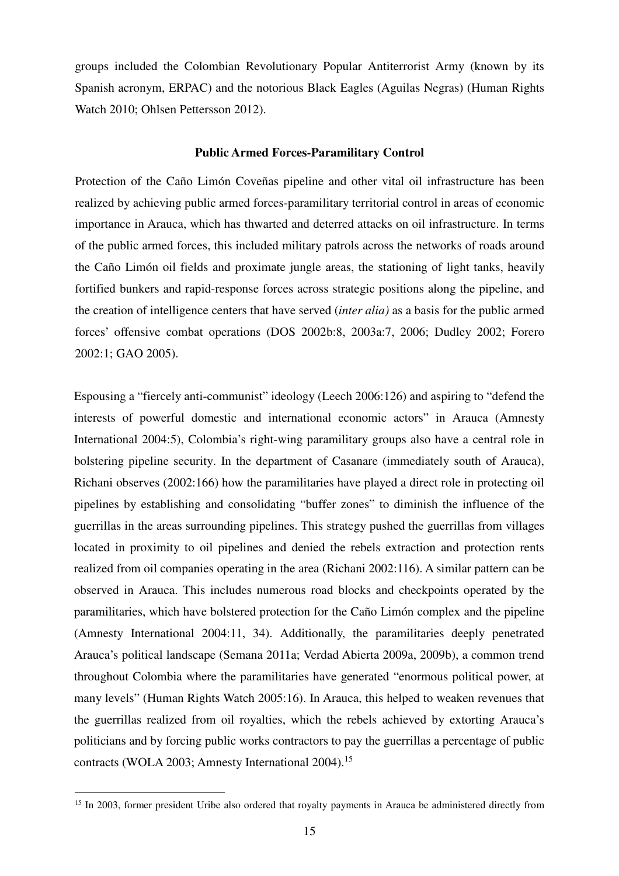groups included the Colombian Revolutionary Popular Antiterrorist Army (known by its Spanish acronym, ERPAC) and the notorious Black Eagles (Aguilas Negras) (Human Rights Watch 2010; Ohlsen Pettersson 2012).

#### **Public Armed Forces-Paramilitary Control**

Protection of the Caño Limón Coveñas pipeline and other vital oil infrastructure has been realized by achieving public armed forces-paramilitary territorial control in areas of economic importance in Arauca, which has thwarted and deterred attacks on oil infrastructure. In terms of the public armed forces, this included military patrols across the networks of roads around the Caño Limón oil fields and proximate jungle areas, the stationing of light tanks, heavily fortified bunkers and rapid-response forces across strategic positions along the pipeline, and the creation of intelligence centers that have served (*inter alia)* as a basis for the public armed forces' offensive combat operations (DOS 2002b:8, 2003a:7, 2006; Dudley 2002; Forero 2002:1; GAO 2005).

Espousing a "fiercely anti-communist" ideology (Leech 2006:126) and aspiring to "defend the interests of powerful domestic and international economic actors" in Arauca (Amnesty International 2004:5), Colombia's right-wing paramilitary groups also have a central role in bolstering pipeline security. In the department of Casanare (immediately south of Arauca), Richani observes (2002:166) how the paramilitaries have played a direct role in protecting oil pipelines by establishing and consolidating "buffer zones" to diminish the influence of the guerrillas in the areas surrounding pipelines. This strategy pushed the guerrillas from villages located in proximity to oil pipelines and denied the rebels extraction and protection rents realized from oil companies operating in the area (Richani 2002:116). A similar pattern can be observed in Arauca. This includes numerous road blocks and checkpoints operated by the paramilitaries, which have bolstered protection for the Caño Limón complex and the pipeline (Amnesty International 2004:11, 34). Additionally, the paramilitaries deeply penetrated Arauca's political landscape (Semana 2011a; Verdad Abierta 2009a, 2009b), a common trend throughout Colombia where the paramilitaries have generated "enormous political power, at many levels" (Human Rights Watch 2005:16). In Arauca, this helped to weaken revenues that the guerrillas realized from oil royalties, which the rebels achieved by extorting Arauca's politicians and by forcing public works contractors to pay the guerrillas a percentage of public contracts (WOLA 2003; Amnesty International 2004).<sup>15</sup>

<sup>&</sup>lt;sup>15</sup> In 2003, former president Uribe also ordered that royalty payments in Arauca be administered directly from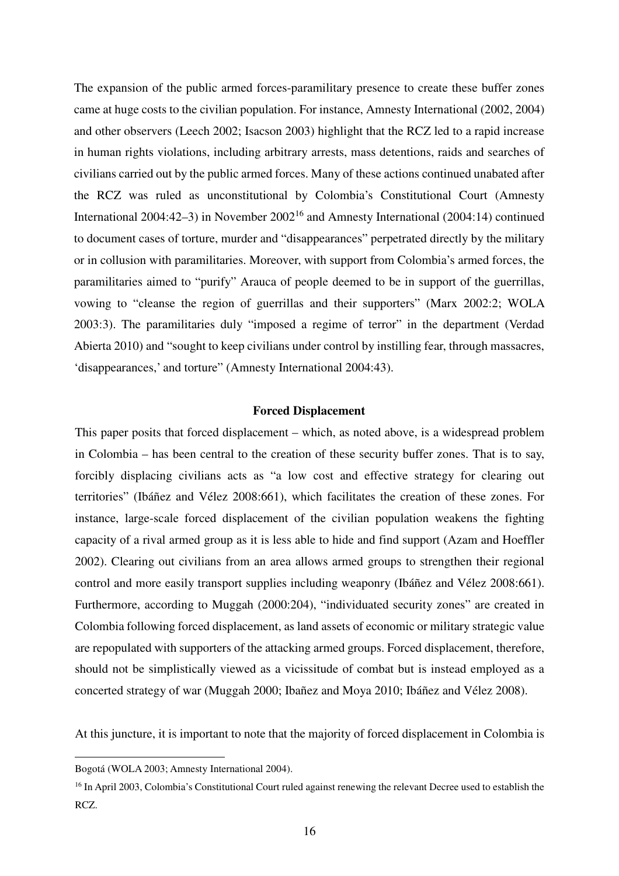The expansion of the public armed forces-paramilitary presence to create these buffer zones came at huge costs to the civilian population. For instance, Amnesty International (2002, 2004) and other observers (Leech 2002; Isacson 2003) highlight that the RCZ led to a rapid increase in human rights violations, including arbitrary arrests, mass detentions, raids and searches of civilians carried out by the public armed forces. Many of these actions continued unabated after the RCZ was ruled as unconstitutional by Colombia's Constitutional Court (Amnesty International 2004:42–3) in November 2002<sup>16</sup> and Amnesty International (2004:14) continued to document cases of torture, murder and "disappearances" perpetrated directly by the military or in collusion with paramilitaries. Moreover, with support from Colombia's armed forces, the paramilitaries aimed to "purify" Arauca of people deemed to be in support of the guerrillas, vowing to "cleanse the region of guerrillas and their supporters" (Marx 2002:2; WOLA 2003:3). The paramilitaries duly "imposed a regime of terror" in the department (Verdad Abierta 2010) and "sought to keep civilians under control by instilling fear, through massacres, 'disappearances,' and torture" (Amnesty International 2004:43).

#### **Forced Displacement**

This paper posits that forced displacement – which, as noted above, is a widespread problem in Colombia – has been central to the creation of these security buffer zones. That is to say, forcibly displacing civilians acts as "a low cost and effective strategy for clearing out territories" (Ibáñez and Vélez 2008:661), which facilitates the creation of these zones. For instance, large-scale forced displacement of the civilian population weakens the fighting capacity of a rival armed group as it is less able to hide and find support (Azam and Hoeffler 2002). Clearing out civilians from an area allows armed groups to strengthen their regional control and more easily transport supplies including weaponry (Ibáñez and Vélez 2008:661). Furthermore, according to Muggah (2000:204), "individuated security zones" are created in Colombia following forced displacement, as land assets of economic or military strategic value are repopulated with supporters of the attacking armed groups. Forced displacement, therefore, should not be simplistically viewed as a vicissitude of combat but is instead employed as a concerted strategy of war (Muggah 2000; Ibañez and Moya 2010; Ibáñez and Vélez 2008).

At this juncture, it is important to note that the majority of forced displacement in Colombia is

Bogotá (WOLA 2003; Amnesty International 2004).

<sup>&</sup>lt;sup>16</sup> In April 2003, Colombia's Constitutional Court ruled against renewing the relevant Decree used to establish the RCZ.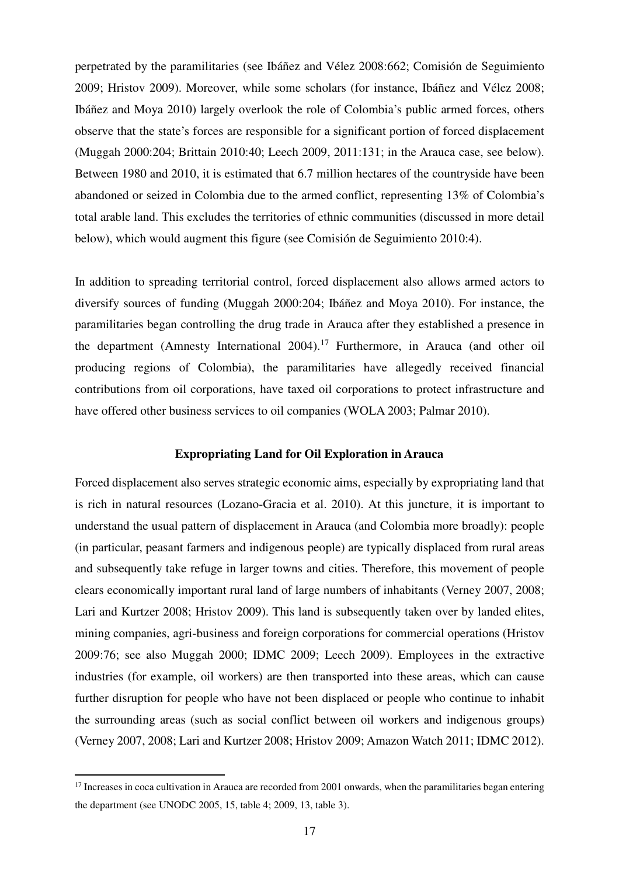perpetrated by the paramilitaries (see Ibáñez and Vélez 2008:662; Comisión de Seguimiento 2009; Hristov 2009). Moreover, while some scholars (for instance, Ibáñez and Vélez 2008; Ibáñez and Moya 2010) largely overlook the role of Colombia's public armed forces, others observe that the state's forces are responsible for a significant portion of forced displacement (Muggah 2000:204; Brittain 2010:40; Leech 2009, 2011:131; in the Arauca case, see below). Between 1980 and 2010, it is estimated that 6.7 million hectares of the countryside have been abandoned or seized in Colombia due to the armed conflict, representing 13% of Colombia's total arable land. This excludes the territories of ethnic communities (discussed in more detail below), which would augment this figure (see Comisión de Seguimiento 2010:4).

In addition to spreading territorial control, forced displacement also allows armed actors to diversify sources of funding (Muggah 2000:204; Ibáñez and Moya 2010). For instance, the paramilitaries began controlling the drug trade in Arauca after they established a presence in the department (Amnesty International 2004).<sup>17</sup> Furthermore, in Arauca (and other oil producing regions of Colombia), the paramilitaries have allegedly received financial contributions from oil corporations, have taxed oil corporations to protect infrastructure and have offered other business services to oil companies (WOLA 2003; Palmar 2010).

#### **Expropriating Land for Oil Exploration in Arauca**

Forced displacement also serves strategic economic aims, especially by expropriating land that is rich in natural resources (Lozano-Gracia et al. 2010). At this juncture, it is important to understand the usual pattern of displacement in Arauca (and Colombia more broadly): people (in particular, peasant farmers and indigenous people) are typically displaced from rural areas and subsequently take refuge in larger towns and cities. Therefore, this movement of people clears economically important rural land of large numbers of inhabitants (Verney 2007, 2008; Lari and Kurtzer 2008; Hristov 2009). This land is subsequently taken over by landed elites, mining companies, agri-business and foreign corporations for commercial operations (Hristov 2009:76; see also Muggah 2000; IDMC 2009; Leech 2009). Employees in the extractive industries (for example, oil workers) are then transported into these areas, which can cause further disruption for people who have not been displaced or people who continue to inhabit the surrounding areas (such as social conflict between oil workers and indigenous groups) (Verney 2007, 2008; Lari and Kurtzer 2008; Hristov 2009; Amazon Watch 2011; IDMC 2012).

 $17$  Increases in coca cultivation in Arauca are recorded from 2001 onwards, when the paramilitaries began entering the department (see UNODC 2005, 15, table 4; 2009, 13, table 3).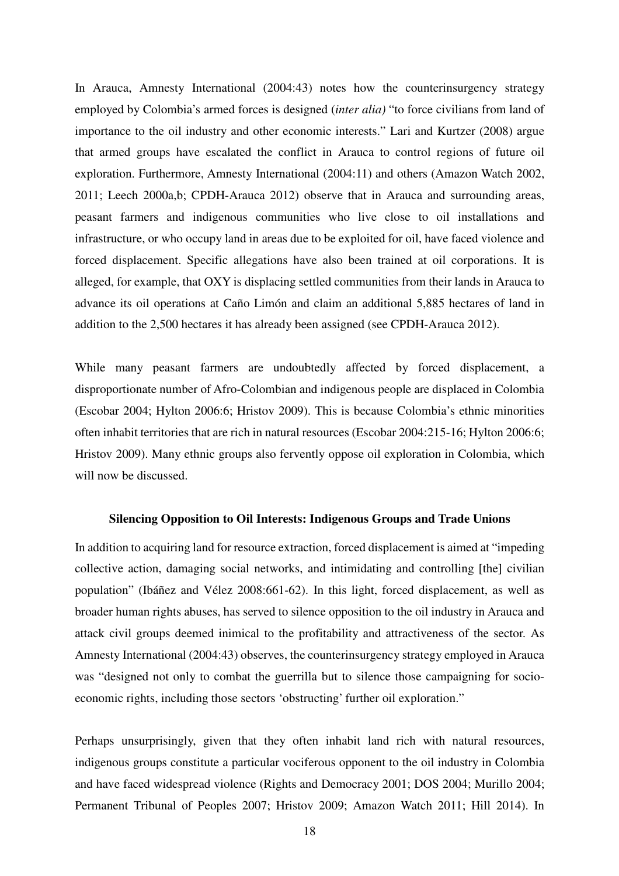In Arauca, Amnesty International (2004:43) notes how the counterinsurgency strategy employed by Colombia's armed forces is designed (*inter alia)* "to force civilians from land of importance to the oil industry and other economic interests." Lari and Kurtzer (2008) argue that armed groups have escalated the conflict in Arauca to control regions of future oil exploration. Furthermore, Amnesty International (2004:11) and others (Amazon Watch 2002, 2011; Leech 2000a,b; CPDH-Arauca 2012) observe that in Arauca and surrounding areas, peasant farmers and indigenous communities who live close to oil installations and infrastructure, or who occupy land in areas due to be exploited for oil, have faced violence and forced displacement. Specific allegations have also been trained at oil corporations. It is alleged, for example, that OXY is displacing settled communities from their lands in Arauca to advance its oil operations at Caño Limón and claim an additional 5,885 hectares of land in addition to the 2,500 hectares it has already been assigned (see CPDH-Arauca 2012).

While many peasant farmers are undoubtedly affected by forced displacement, a disproportionate number of Afro-Colombian and indigenous people are displaced in Colombia (Escobar 2004; Hylton 2006:6; Hristov 2009). This is because Colombia's ethnic minorities often inhabit territories that are rich in natural resources (Escobar 2004:215-16; Hylton 2006:6; Hristov 2009). Many ethnic groups also fervently oppose oil exploration in Colombia, which will now be discussed.

#### **Silencing Opposition to Oil Interests: Indigenous Groups and Trade Unions**

In addition to acquiring land for resource extraction, forced displacement is aimed at "impeding collective action, damaging social networks, and intimidating and controlling [the] civilian population" (Ibáñez and Vélez 2008:661-62). In this light, forced displacement, as well as broader human rights abuses, has served to silence opposition to the oil industry in Arauca and attack civil groups deemed inimical to the profitability and attractiveness of the sector. As Amnesty International (2004:43) observes, the counterinsurgency strategy employed in Arauca was "designed not only to combat the guerrilla but to silence those campaigning for socioeconomic rights, including those sectors 'obstructing' further oil exploration."

Perhaps unsurprisingly, given that they often inhabit land rich with natural resources, indigenous groups constitute a particular vociferous opponent to the oil industry in Colombia and have faced widespread violence (Rights and Democracy 2001; DOS 2004; Murillo 2004; Permanent Tribunal of Peoples 2007; Hristov 2009; Amazon Watch 2011; Hill 2014). In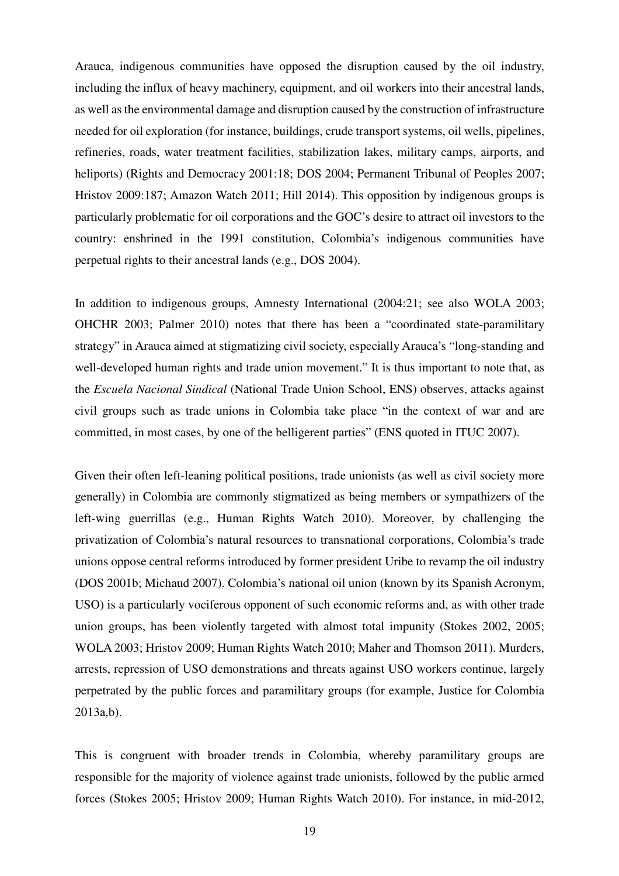Arauca, indigenous communities have opposed the disruption caused by the oil industry, including the influx of heavy machinery, equipment, and oil workers into their ancestral lands, as well as the environmental damage and disruption caused by the construction of infrastructure needed for oil exploration (for instance, buildings, crude transport systems, oil wells, pipelines, refineries, roads, water treatment facilities, stabilization lakes, military camps, airports, and heliports) (Rights and Democracy 2001:18; DOS 2004; Permanent Tribunal of Peoples 2007; Hristov 2009:187; Amazon Watch 2011; Hill 2014). This opposition by indigenous groups is particularly problematic for oil corporations and the GOC's desire to attract oil investors to the country: enshrined in the 1991 constitution, Colombia's indigenous communities have perpetual rights to their ancestral lands (e.g., DOS 2004).

In addition to indigenous groups, Amnesty International (2004:21; see also WOLA 2003; OHCHR 2003; Palmer 2010) notes that there has been a "coordinated state-paramilitary strategy" in Arauca aimed at stigmatizing civil society, especially Arauca's "long-standing and well-developed human rights and trade union movement." It is thus important to note that, as the *Escuela Nacional Sindical* (National Trade Union School, ENS) observes, attacks against civil groups such as trade unions in Colombia take place "in the context of war and are committed, in most cases, by one of the belligerent parties" (ENS quoted in ITUC 2007).

Given their often left-leaning political positions, trade unionists (as well as civil society more generally) in Colombia are commonly stigmatized as being members or sympathizers of the left-wing guerrillas (e.g., Human Rights Watch 2010). Moreover, by challenging the privatization of Colombia's natural resources to transnational corporations, Colombia's trade unions oppose central reforms introduced by former president Uribe to revamp the oil industry (DOS 2001b; Michaud 2007). Colombia's national oil union (known by its Spanish Acronym, USO) is a particularly vociferous opponent of such economic reforms and, as with other trade union groups, has been violently targeted with almost total impunity (Stokes 2002, 2005; WOLA 2003; Hristov 2009; Human Rights Watch 2010; Maher and Thomson 2011). Murders, arrests, repression of USO demonstrations and threats against USO workers continue, largely perpetrated by the public forces and paramilitary groups (for example, Justice for Colombia 2013a,b).

This is congruent with broader trends in Colombia, whereby paramilitary groups are responsible for the majority of violence against trade unionists, followed by the public armed forces (Stokes 2005; Hristov 2009; Human Rights Watch 2010). For instance, in mid-2012,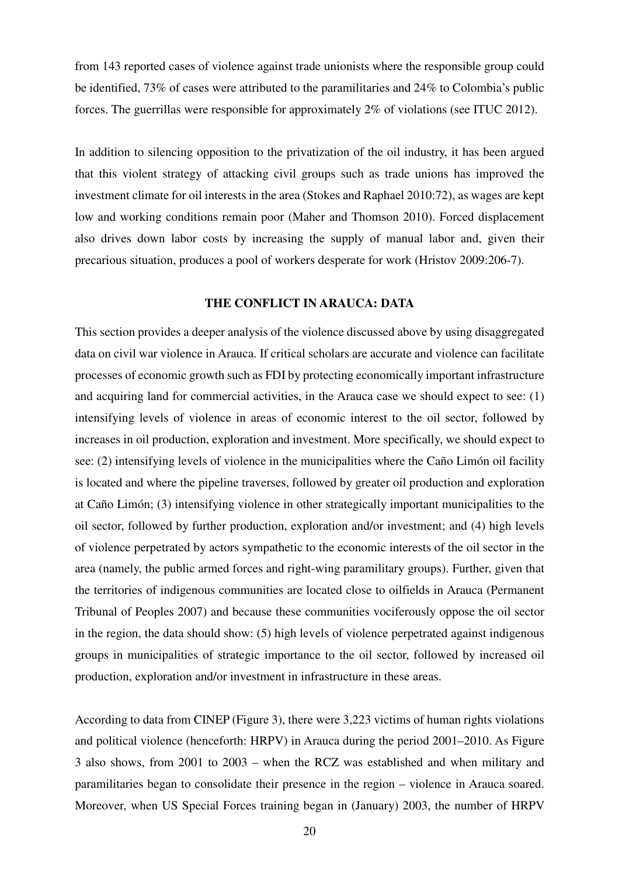from 143 reported cases of violence against trade unionists where the responsible group could be identified, 73% of cases were attributed to the paramilitaries and 24% to Colombia's public forces. The guerrillas were responsible for approximately 2% of violations (see ITUC 2012).

In addition to silencing opposition to the privatization of the oil industry, it has been argued that this violent strategy of attacking civil groups such as trade unions has improved the investment climate for oil interests in the area (Stokes and Raphael 2010:72), as wages are kept low and working conditions remain poor (Maher and Thomson 2010). Forced displacement also drives down labor costs by increasing the supply of manual labor and, given their precarious situation, produces a pool of workers desperate for work (Hristov 2009:206-7).

#### **THE CONFLICT IN ARAUCA: DATA**

This section provides a deeper analysis of the violence discussed above by using disaggregated data on civil war violence in Arauca. If critical scholars are accurate and violence can facilitate processes of economic growth such as FDI by protecting economically important infrastructure and acquiring land for commercial activities, in the Arauca case we should expect to see: (1) intensifying levels of violence in areas of economic interest to the oil sector, followed by increases in oil production, exploration and investment. More specifically, we should expect to see: (2) intensifying levels of violence in the municipalities where the Caño Limón oil facility is located and where the pipeline traverses, followed by greater oil production and exploration at Caño Limón; (3) intensifying violence in other strategically important municipalities to the oil sector, followed by further production, exploration and/or investment; and (4) high levels of violence perpetrated by actors sympathetic to the economic interests of the oil sector in the area (namely, the public armed forces and right-wing paramilitary groups). Further, given that the territories of indigenous communities are located close to oilfields in Arauca (Permanent Tribunal of Peoples 2007) and because these communities vociferously oppose the oil sector in the region, the data should show: (5) high levels of violence perpetrated against indigenous groups in municipalities of strategic importance to the oil sector, followed by increased oil production, exploration and/or investment in infrastructure in these areas.

According to data from CINEP (Figure 3), there were 3,223 victims of human rights violations and political violence (henceforth: HRPV) in Arauca during the period 2001–2010. As Figure 3 also shows, from 2001 to 2003 – when the RCZ was established and when military and paramilitaries began to consolidate their presence in the region – violence in Arauca soared. Moreover, when US Special Forces training began in (January) 2003, the number of HRPV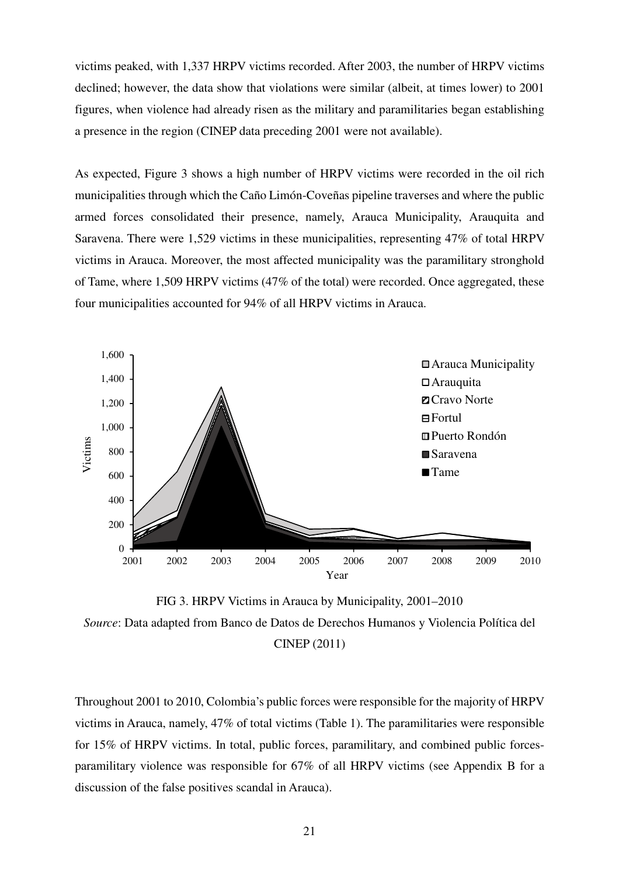victims peaked, with 1,337 HRPV victims recorded. After 2003, the number of HRPV victims declined; however, the data show that violations were similar (albeit, at times lower) to 2001 figures, when violence had already risen as the military and paramilitaries began establishing a presence in the region (CINEP data preceding 2001 were not available).

As expected, Figure 3 shows a high number of HRPV victims were recorded in the oil rich municipalities through which the Caño Limón-Coveñas pipeline traverses and where the public armed forces consolidated their presence, namely, Arauca Municipality, Arauquita and Saravena. There were 1,529 victims in these municipalities, representing 47% of total HRPV victims in Arauca. Moreover, the most affected municipality was the paramilitary stronghold of Tame, where 1,509 HRPV victims (47% of the total) were recorded. Once aggregated, these four municipalities accounted for 94% of all HRPV victims in Arauca.



FIG 3. HRPV Victims in Arauca by Municipality, 2001–2010 *Source*: Data adapted from Banco de Datos de Derechos Humanos y Violencia Política del CINEP (2011)

Throughout 2001 to 2010, Colombia's public forces were responsible for the majority of HRPV victims in Arauca, namely, 47% of total victims (Table 1). The paramilitaries were responsible for 15% of HRPV victims. In total, public forces, paramilitary, and combined public forcesparamilitary violence was responsible for 67% of all HRPV victims (see Appendix B for a discussion of the false positives scandal in Arauca).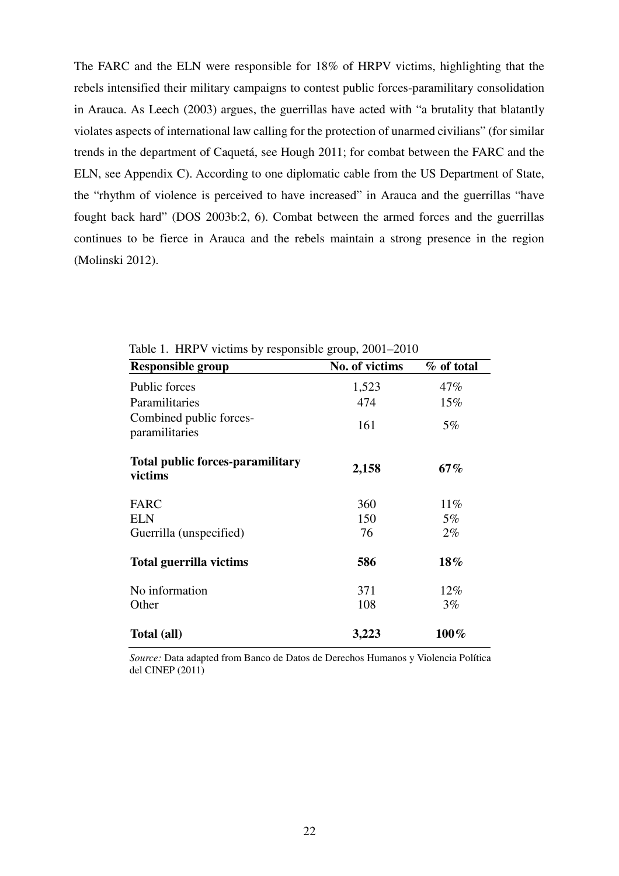The FARC and the ELN were responsible for 18% of HRPV victims, highlighting that the rebels intensified their military campaigns to contest public forces-paramilitary consolidation in Arauca. As Leech (2003) argues, the guerrillas have acted with "a brutality that blatantly violates aspects of international law calling for the protection of unarmed civilians" (for similar trends in the department of Caquetá, see Hough 2011; for combat between the FARC and the ELN, see Appendix C). According to one diplomatic cable from the US Department of State, the "rhythm of violence is perceived to have increased" in Arauca and the guerrillas "have fought back hard" (DOS 2003b:2, 6). Combat between the armed forces and the guerrillas continues to be fierce in Arauca and the rebels maintain a strong presence in the region (Molinski 2012).

| <b>Responsible group</b>                           | No. of victims | % of total |
|----------------------------------------------------|----------------|------------|
| Public forces                                      | 1,523          | 47%        |
| Paramilitaries                                     | 474            | 15%        |
| Combined public forces-<br>paramilitaries          | 161            | $5\%$      |
| <b>Total public forces-paramilitary</b><br>victims | 2,158          | $67\%$     |
| <b>FARC</b>                                        | 360            | $11\%$     |
| <b>ELN</b>                                         | 150            | $5\%$      |
| Guerrilla (unspecified)                            | 76             | $2\%$      |
| <b>Total guerrilla victims</b>                     | 586            | 18%        |
| No information                                     | 371            | 12%        |
| Other                                              | 108            | $3\%$      |
| Total (all)                                        | 3,223          | $100\%$    |

Table 1. HRPV victims by responsible group, 2001–2010

*Source:* Data adapted from Banco de Datos de Derechos Humanos y Violencia Política del CINEP (2011)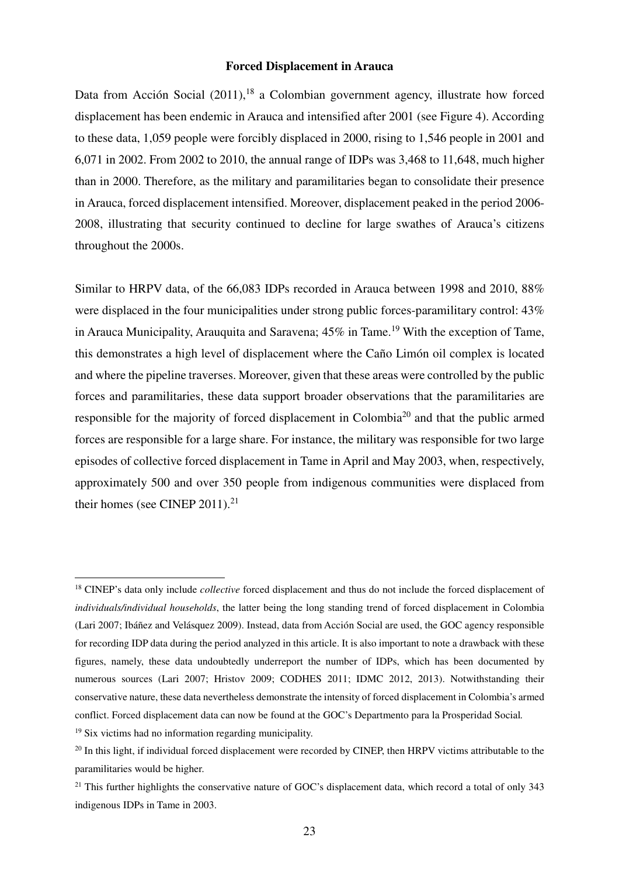#### **Forced Displacement in Arauca**

Data from Acción Social  $(2011)$ ,<sup>18</sup> a Colombian government agency, illustrate how forced displacement has been endemic in Arauca and intensified after 2001 (see Figure 4). According to these data, 1,059 people were forcibly displaced in 2000, rising to 1,546 people in 2001 and 6,071 in 2002. From 2002 to 2010, the annual range of IDPs was 3,468 to 11,648, much higher than in 2000. Therefore, as the military and paramilitaries began to consolidate their presence in Arauca, forced displacement intensified. Moreover, displacement peaked in the period 2006- 2008, illustrating that security continued to decline for large swathes of Arauca's citizens throughout the 2000s.

Similar to HRPV data, of the 66,083 IDPs recorded in Arauca between 1998 and 2010, 88% were displaced in the four municipalities under strong public forces-paramilitary control: 43% in Arauca Municipality, Arauquita and Saravena;  $45\%$  in Tame.<sup>19</sup> With the exception of Tame, this demonstrates a high level of displacement where the Caño Limón oil complex is located and where the pipeline traverses. Moreover, given that these areas were controlled by the public forces and paramilitaries, these data support broader observations that the paramilitaries are responsible for the majority of forced displacement in Colombia<sup>20</sup> and that the public armed forces are responsible for a large share. For instance, the military was responsible for two large episodes of collective forced displacement in Tame in April and May 2003, when, respectively, approximately 500 and over 350 people from indigenous communities were displaced from their homes (see CINEP 2011). $^{21}$ 

<sup>&</sup>lt;sup>18</sup> CINEP's data only include *collective* forced displacement and thus do not include the forced displacement of *individuals/individual households*, the latter being the long standing trend of forced displacement in Colombia (Lari 2007; Ibáñez and Velásquez 2009). Instead, data from Acción Social are used, the GOC agency responsible for recording IDP data during the period analyzed in this article. It is also important to note a drawback with these figures, namely, these data undoubtedly underreport the number of IDPs, which has been documented by numerous sources (Lari 2007; Hristov 2009; CODHES 2011; IDMC 2012, 2013). Notwithstanding their conservative nature, these data nevertheless demonstrate the intensity of forced displacement in Colombia's armed conflict. Forced displacement data can now be found at the GOC's Departmento para la Prosperidad Social*.*

<sup>&</sup>lt;sup>19</sup> Six victims had no information regarding municipality.

 $^{20}$  In this light, if individual forced displacement were recorded by CINEP, then HRPV victims attributable to the paramilitaries would be higher.

 $21$  This further highlights the conservative nature of GOC's displacement data, which record a total of only 343 indigenous IDPs in Tame in 2003.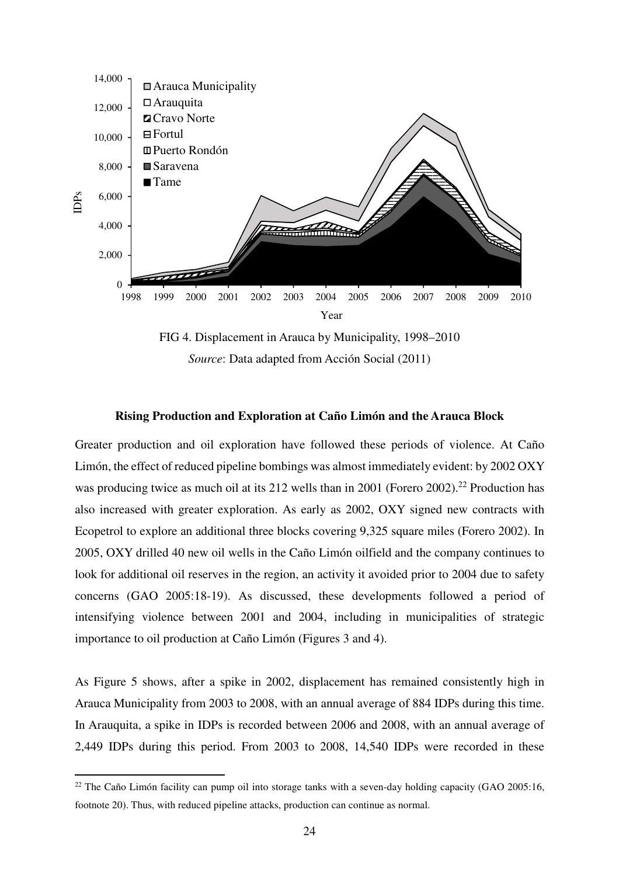

FIG 4. Displacement in Arauca by Municipality, 1998–2010 *Source*: Data adapted from Acción Social (2011)

#### **Rising Production and Exploration at Caño Limón and the Arauca Block**

Greater production and oil exploration have followed these periods of violence. At Caño Limón, the effect of reduced pipeline bombings was almost immediately evident: by 2002 OXY was producing twice as much oil at its 212 wells than in 2001 (Forero 2002).<sup>22</sup> Production has also increased with greater exploration. As early as 2002, OXY signed new contracts with Ecopetrol to explore an additional three blocks covering 9,325 square miles (Forero 2002). In 2005, OXY drilled 40 new oil wells in the Caño Limón oilfield and the company continues to look for additional oil reserves in the region, an activity it avoided prior to 2004 due to safety concerns (GAO 2005:18-19). As discussed, these developments followed a period of intensifying violence between 2001 and 2004, including in municipalities of strategic importance to oil production at Caño Limón (Figures 3 and 4).

As Figure 5 shows, after a spike in 2002, displacement has remained consistently high in Arauca Municipality from 2003 to 2008, with an annual average of 884 IDPs during this time. In Arauquita, a spike in IDPs is recorded between 2006 and 2008, with an annual average of 2,449 IDPs during this period. From 2003 to 2008, 14,540 IDPs were recorded in these

<sup>&</sup>lt;sup>22</sup> The Caño Limón facility can pump oil into storage tanks with a seven-day holding capacity (GAO 2005:16, footnote 20). Thus, with reduced pipeline attacks, production can continue as normal.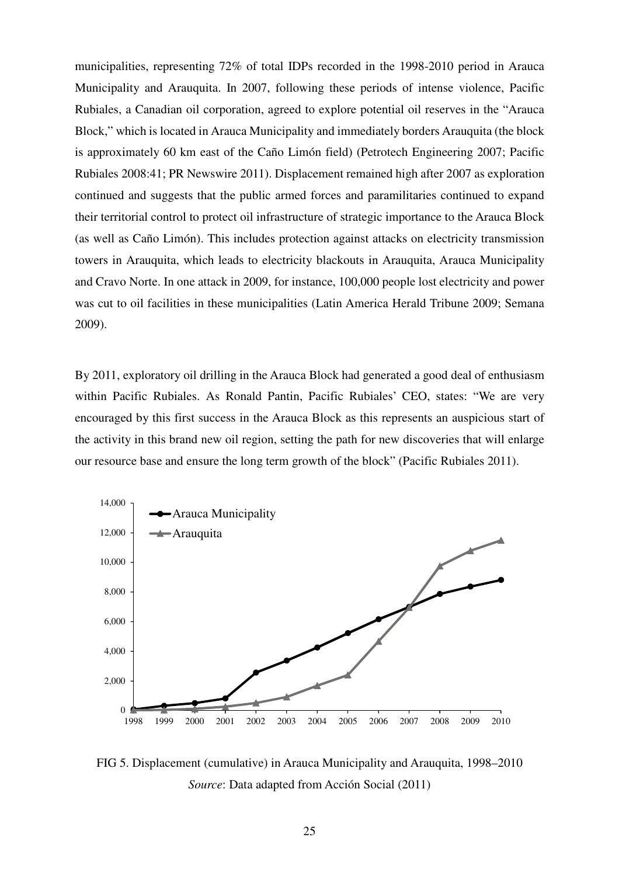municipalities, representing 72% of total IDPs recorded in the 1998-2010 period in Arauca Municipality and Arauquita. In 2007, following these periods of intense violence, Pacific Rubiales, a Canadian oil corporation, agreed to explore potential oil reserves in the "Arauca Block," which is located in Arauca Municipality and immediately borders Arauquita (the block is approximately 60 km east of the Caño Limón field) (Petrotech Engineering 2007; Pacific Rubiales 2008:41; PR Newswire 2011). Displacement remained high after 2007 as exploration continued and suggests that the public armed forces and paramilitaries continued to expand their territorial control to protect oil infrastructure of strategic importance to the Arauca Block (as well as Caño Limón). This includes protection against attacks on electricity transmission towers in Arauquita, which leads to electricity blackouts in Arauquita, Arauca Municipality and Cravo Norte. In one attack in 2009, for instance, 100,000 people lost electricity and power was cut to oil facilities in these municipalities (Latin America Herald Tribune 2009; Semana 2009).

By 2011, exploratory oil drilling in the Arauca Block had generated a good deal of enthusiasm within Pacific Rubiales. As Ronald Pantin, Pacific Rubiales' CEO, states: "We are very encouraged by this first success in the Arauca Block as this represents an auspicious start of the activity in this brand new oil region, setting the path for new discoveries that will enlarge our resource base and ensure the long term growth of the block" (Pacific Rubiales 2011).



FIG 5. Displacement (cumulative) in Arauca Municipality and Arauquita, 1998–2010 *Source*: Data adapted from Acción Social (2011)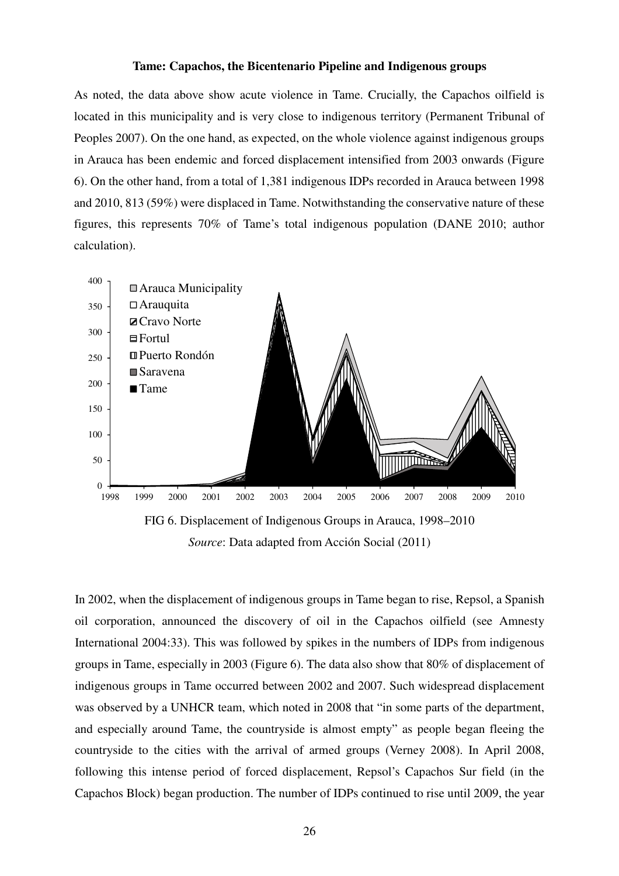#### **Tame: Capachos, the Bicentenario Pipeline and Indigenous groups**

As noted, the data above show acute violence in Tame. Crucially, the Capachos oilfield is located in this municipality and is very close to indigenous territory (Permanent Tribunal of Peoples 2007). On the one hand, as expected, on the whole violence against indigenous groups in Arauca has been endemic and forced displacement intensified from 2003 onwards (Figure 6). On the other hand, from a total of 1,381 indigenous IDPs recorded in Arauca between 1998 and 2010, 813 (59%) were displaced in Tame. Notwithstanding the conservative nature of these figures, this represents 70% of Tame's total indigenous population (DANE 2010; author calculation).



*Source*: Data adapted from Acción Social (2011)

In 2002, when the displacement of indigenous groups in Tame began to rise, Repsol, a Spanish oil corporation, announced the discovery of oil in the Capachos oilfield (see Amnesty International 2004:33). This was followed by spikes in the numbers of IDPs from indigenous groups in Tame, especially in 2003 (Figure 6). The data also show that 80% of displacement of indigenous groups in Tame occurred between 2002 and 2007. Such widespread displacement was observed by a UNHCR team, which noted in 2008 that "in some parts of the department, and especially around Tame, the countryside is almost empty" as people began fleeing the countryside to the cities with the arrival of armed groups (Verney 2008). In April 2008, following this intense period of forced displacement, Repsol's Capachos Sur field (in the Capachos Block) began production. The number of IDPs continued to rise until 2009, the year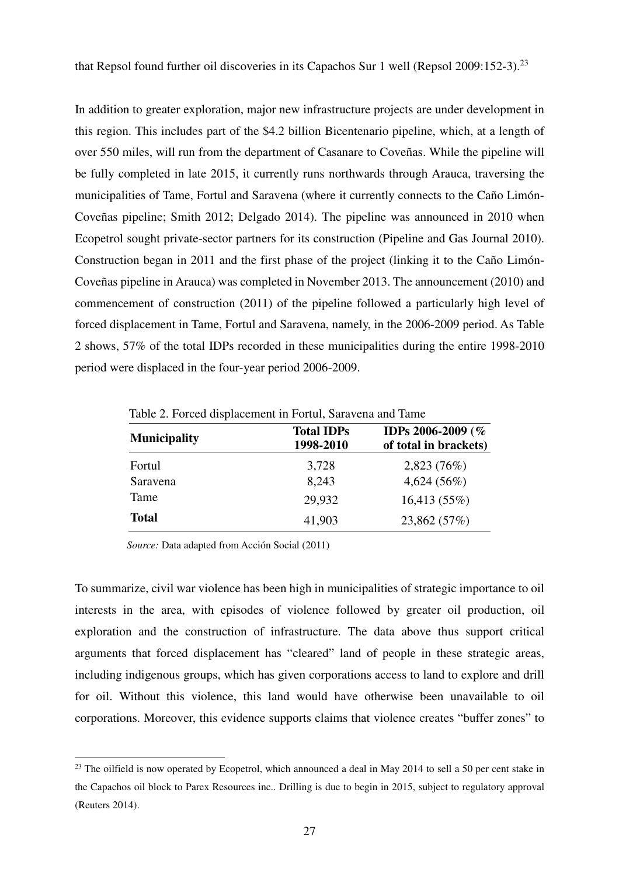that Repsol found further oil discoveries in its Capachos Sur 1 well (Repsol  $2009:152-3$ ).<sup>23</sup>

In addition to greater exploration, major new infrastructure projects are under development in this region. This includes part of the \$4.2 billion Bicentenario pipeline, which, at a length of over 550 miles, will run from the department of Casanare to Coveñas. While the pipeline will be fully completed in late 2015, it currently runs northwards through Arauca, traversing the municipalities of Tame, Fortul and Saravena (where it currently connects to the Caño Limón-Coveñas pipeline; Smith 2012; Delgado 2014). The pipeline was announced in 2010 when Ecopetrol sought private-sector partners for its construction (Pipeline and Gas Journal 2010). Construction began in 2011 and the first phase of the project (linking it to the Caño Limón-Coveñas pipeline in Arauca) was completed in November 2013. The announcement (2010) and commencement of construction (2011) of the pipeline followed a particularly high level of forced displacement in Tame, Fortul and Saravena, namely, in the 2006-2009 period. As Table 2 shows, 57% of the total IDPs recorded in these municipalities during the entire 1998-2010 period were displaced in the four-year period 2006-2009.

| Table 2. Forced displacement in Fortul, Saravena and Tame |                                |                                            |  |  |
|-----------------------------------------------------------|--------------------------------|--------------------------------------------|--|--|
| <b>Municipality</b>                                       | <b>Total IDPs</b><br>1998-2010 | IDPs 2006-2009 (%<br>of total in brackets) |  |  |
| Fortul                                                    | 3,728                          | 2,823(76%)                                 |  |  |
| Saravena                                                  | 8,243                          | 4,624(56%)                                 |  |  |
| Tame                                                      | 29,932                         | 16,413 (55%)                               |  |  |
| <b>Total</b>                                              | 41,903                         | 23,862 (57%)                               |  |  |

Table 2. Forced displacement in Fortul, Saravena and Tame

*Source:* Data adapted from Acción Social (2011)

 $\overline{a}$ 

To summarize, civil war violence has been high in municipalities of strategic importance to oil interests in the area, with episodes of violence followed by greater oil production, oil exploration and the construction of infrastructure. The data above thus support critical arguments that forced displacement has "cleared" land of people in these strategic areas, including indigenous groups, which has given corporations access to land to explore and drill for oil. Without this violence, this land would have otherwise been unavailable to oil corporations. Moreover, this evidence supports claims that violence creates "buffer zones" to

<sup>&</sup>lt;sup>23</sup> The oilfield is now operated by Ecopetrol, which announced a deal in May 2014 to sell a 50 per cent stake in the Capachos oil block to Parex Resources inc.. Drilling is due to begin in 2015, subject to regulatory approval (Reuters 2014).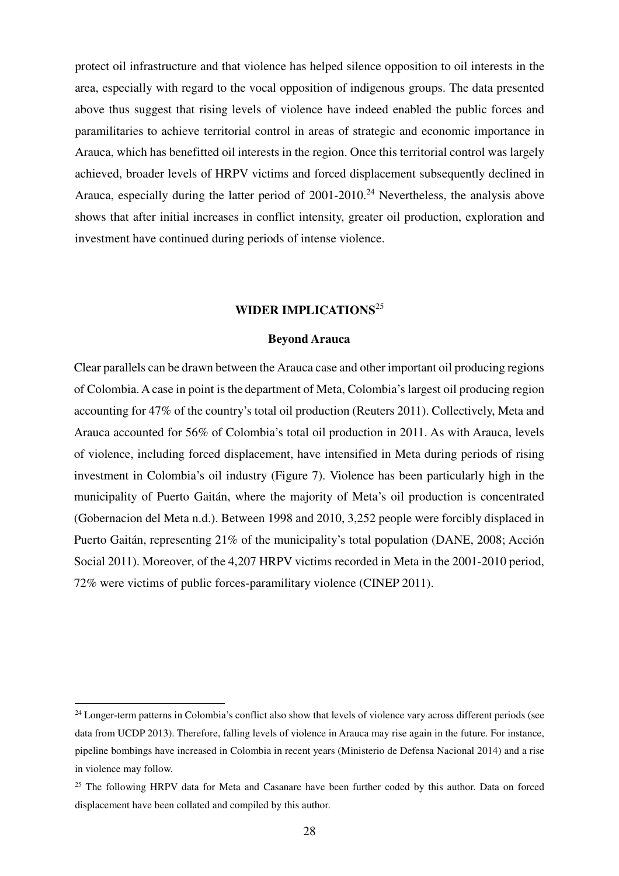protect oil infrastructure and that violence has helped silence opposition to oil interests in the area, especially with regard to the vocal opposition of indigenous groups. The data presented above thus suggest that rising levels of violence have indeed enabled the public forces and paramilitaries to achieve territorial control in areas of strategic and economic importance in Arauca, which has benefitted oil interests in the region. Once this territorial control was largely achieved, broader levels of HRPV victims and forced displacement subsequently declined in Arauca, especially during the latter period of  $2001-2010$ <sup>24</sup> Nevertheless, the analysis above shows that after initial increases in conflict intensity, greater oil production, exploration and investment have continued during periods of intense violence.

#### **WIDER IMPLICATIONS**<sup>25</sup>

#### **Beyond Arauca**

Clear parallels can be drawn between the Arauca case and other important oil producing regions of Colombia.A case in point is the department of Meta, Colombia's largest oil producing region accounting for 47% of the country's total oil production (Reuters 2011). Collectively, Meta and Arauca accounted for 56% of Colombia's total oil production in 2011. As with Arauca, levels of violence, including forced displacement, have intensified in Meta during periods of rising investment in Colombia's oil industry (Figure 7). Violence has been particularly high in the municipality of Puerto Gaitán, where the majority of Meta's oil production is concentrated (Gobernacion del Meta n.d.). Between 1998 and 2010, 3,252 people were forcibly displaced in Puerto Gaitán, representing 21% of the municipality's total population (DANE, 2008; Acción Social 2011). Moreover, of the 4,207 HRPV victims recorded in Meta in the 2001-2010 period, 72% were victims of public forces-paramilitary violence (CINEP 2011).

<sup>&</sup>lt;sup>24</sup> Longer-term patterns in Colombia's conflict also show that levels of violence vary across different periods (see data from UCDP 2013). Therefore, falling levels of violence in Arauca may rise again in the future. For instance, pipeline bombings have increased in Colombia in recent years (Ministerio de Defensa Nacional 2014) and a rise in violence may follow.

<sup>&</sup>lt;sup>25</sup> The following HRPV data for Meta and Casanare have been further coded by this author. Data on forced displacement have been collated and compiled by this author.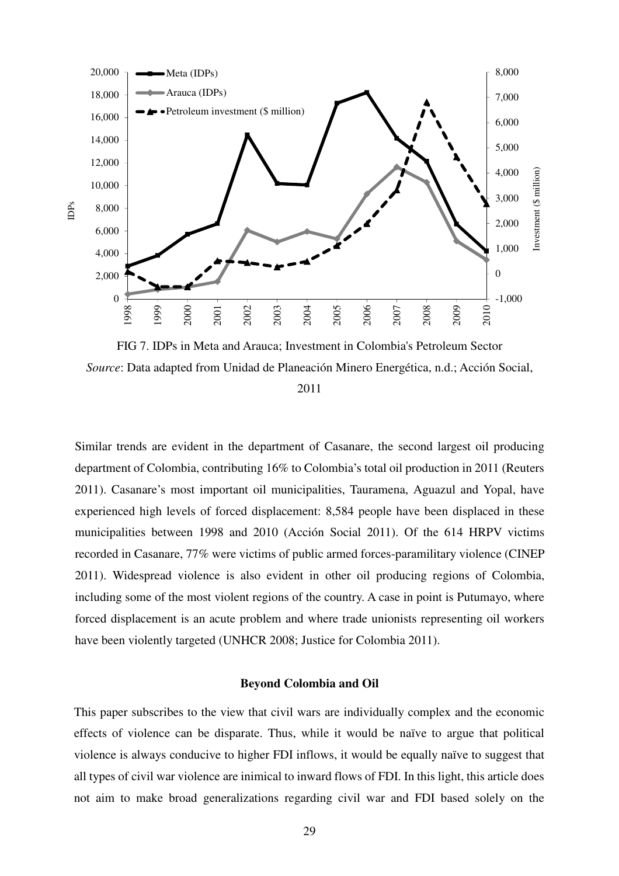

FIG 7. IDPs in Meta and Arauca; Investment in Colombia's Petroleum Sector *Source*: Data adapted from Unidad de Planeación Minero Energética, n.d.; Acción Social,

2011

Similar trends are evident in the department of Casanare, the second largest oil producing department of Colombia, contributing 16% to Colombia's total oil production in 2011 (Reuters 2011). Casanare's most important oil municipalities, Tauramena, Aguazul and Yopal, have experienced high levels of forced displacement: 8,584 people have been displaced in these municipalities between 1998 and 2010 (Acción Social 2011). Of the 614 HRPV victims recorded in Casanare, 77% were victims of public armed forces-paramilitary violence (CINEP 2011). Widespread violence is also evident in other oil producing regions of Colombia, including some of the most violent regions of the country. A case in point is Putumayo, where forced displacement is an acute problem and where trade unionists representing oil workers have been violently targeted (UNHCR 2008; Justice for Colombia 2011).

#### **Beyond Colombia and Oil**

This paper subscribes to the view that civil wars are individually complex and the economic effects of violence can be disparate. Thus, while it would be naïve to argue that political violence is always conducive to higher FDI inflows, it would be equally naïve to suggest that all types of civil war violence are inimical to inward flows of FDI. In this light, this article does not aim to make broad generalizations regarding civil war and FDI based solely on the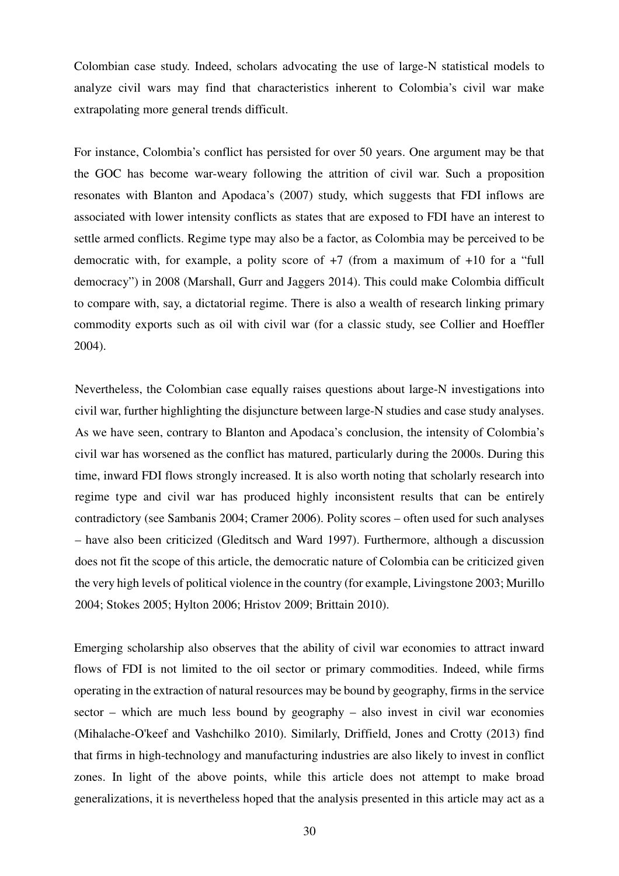Colombian case study. Indeed, scholars advocating the use of large-N statistical models to analyze civil wars may find that characteristics inherent to Colombia's civil war make extrapolating more general trends difficult.

For instance, Colombia's conflict has persisted for over 50 years. One argument may be that the GOC has become war-weary following the attrition of civil war. Such a proposition resonates with Blanton and Apodaca's (2007) study, which suggests that FDI inflows are associated with lower intensity conflicts as states that are exposed to FDI have an interest to settle armed conflicts. Regime type may also be a factor, as Colombia may be perceived to be democratic with, for example, a polity score of +7 (from a maximum of +10 for a "full democracy") in 2008 (Marshall, Gurr and Jaggers 2014). This could make Colombia difficult to compare with, say, a dictatorial regime. There is also a wealth of research linking primary commodity exports such as oil with civil war (for a classic study, see Collier and Hoeffler 2004).

Nevertheless, the Colombian case equally raises questions about large-N investigations into civil war, further highlighting the disjuncture between large-N studies and case study analyses. As we have seen, contrary to Blanton and Apodaca's conclusion, the intensity of Colombia's civil war has worsened as the conflict has matured, particularly during the 2000s. During this time, inward FDI flows strongly increased. It is also worth noting that scholarly research into regime type and civil war has produced highly inconsistent results that can be entirely contradictory (see Sambanis 2004; Cramer 2006). Polity scores – often used for such analyses – have also been criticized (Gleditsch and Ward 1997). Furthermore, although a discussion does not fit the scope of this article, the democratic nature of Colombia can be criticized given the very high levels of political violence in the country (for example, Livingstone 2003; Murillo 2004; Stokes 2005; Hylton 2006; Hristov 2009; Brittain 2010).

Emerging scholarship also observes that the ability of civil war economies to attract inward flows of FDI is not limited to the oil sector or primary commodities. Indeed, while firms operating in the extraction of natural resources may be bound by geography, firms in the service sector – which are much less bound by geography – also invest in civil war economies (Mihalache-O'keef and Vashchilko 2010). Similarly, Driffield, Jones and Crotty (2013) find that firms in high-technology and manufacturing industries are also likely to invest in conflict zones. In light of the above points, while this article does not attempt to make broad generalizations, it is nevertheless hoped that the analysis presented in this article may act as a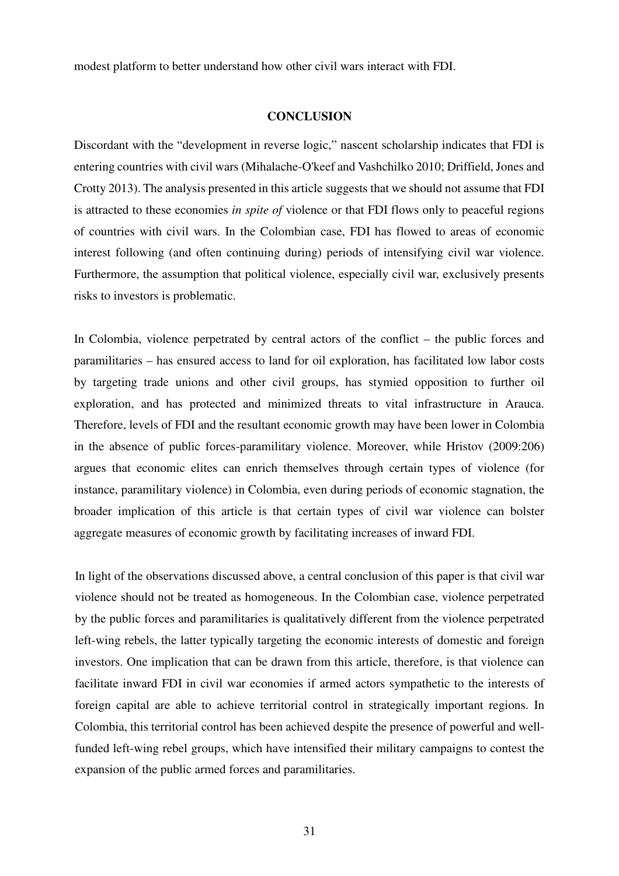modest platform to better understand how other civil wars interact with FDI.

#### **CONCLUSION**

Discordant with the "development in reverse logic," nascent scholarship indicates that FDI is entering countries with civil wars (Mihalache-O'keef and Vashchilko 2010; Driffield, Jones and Crotty 2013). The analysis presented in this article suggests that we should not assume that FDI is attracted to these economies *in spite of* violence or that FDI flows only to peaceful regions of countries with civil wars. In the Colombian case, FDI has flowed to areas of economic interest following (and often continuing during) periods of intensifying civil war violence. Furthermore, the assumption that political violence, especially civil war, exclusively presents risks to investors is problematic.

In Colombia, violence perpetrated by central actors of the conflict – the public forces and paramilitaries – has ensured access to land for oil exploration, has facilitated low labor costs by targeting trade unions and other civil groups, has stymied opposition to further oil exploration, and has protected and minimized threats to vital infrastructure in Arauca. Therefore, levels of FDI and the resultant economic growth may have been lower in Colombia in the absence of public forces-paramilitary violence. Moreover, while Hristov (2009:206) argues that economic elites can enrich themselves through certain types of violence (for instance, paramilitary violence) in Colombia, even during periods of economic stagnation, the broader implication of this article is that certain types of civil war violence can bolster aggregate measures of economic growth by facilitating increases of inward FDI.

In light of the observations discussed above, a central conclusion of this paper is that civil war violence should not be treated as homogeneous. In the Colombian case, violence perpetrated by the public forces and paramilitaries is qualitatively different from the violence perpetrated left-wing rebels, the latter typically targeting the economic interests of domestic and foreign investors. One implication that can be drawn from this article, therefore, is that violence can facilitate inward FDI in civil war economies if armed actors sympathetic to the interests of foreign capital are able to achieve territorial control in strategically important regions. In Colombia, this territorial control has been achieved despite the presence of powerful and wellfunded left-wing rebel groups, which have intensified their military campaigns to contest the expansion of the public armed forces and paramilitaries.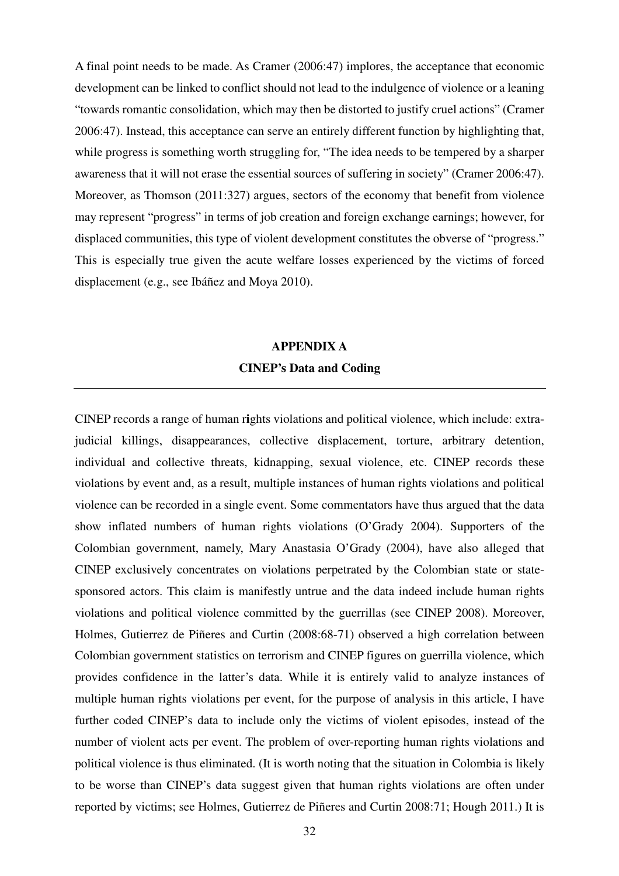A final point needs to be made. As Cramer (2006:47) implores, the acceptance that economic development can be linked to conflict should not lead to the indulgence of violence or a leaning "towards romantic consolidation, which may then be distorted to justify cruel actions" (Cramer 2006:47). Instead, this acceptance can serve an entirely different function by highlighting that, while progress is something worth struggling for, "The idea needs to be tempered by a sharper awareness that it will not erase the essential sources of suffering in society" (Cramer 2006:47). Moreover, as Thomson (2011:327) argues, sectors of the economy that benefit from violence may represent "progress" in terms of job creation and foreign exchange earnings; however, for displaced communities, this type of violent development constitutes the obverse of "progress." This is especially true given the acute welfare losses experienced by the victims of forced displacement (e.g., see Ibáñez and Moya 2010).

### **APPENDIX A CINEP's Data and Coding**

CINEP records a range of human r**i**ghts violations and political violence, which include: extrajudicial killings, disappearances, collective displacement, torture, arbitrary detention, individual and collective threats, kidnapping, sexual violence, etc. CINEP records these violations by event and, as a result, multiple instances of human rights violations and political violence can be recorded in a single event. Some commentators have thus argued that the data show inflated numbers of human rights violations (O'Grady 2004). Supporters of the Colombian government, namely, Mary Anastasia O'Grady (2004), have also alleged that CINEP exclusively concentrates on violations perpetrated by the Colombian state or statesponsored actors. This claim is manifestly untrue and the data indeed include human rights violations and political violence committed by the guerrillas (see CINEP 2008). Moreover, Holmes, Gutierrez de Piñeres and Curtin (2008:68-71) observed a high correlation between Colombian government statistics on terrorism and CINEP figures on guerrilla violence, which provides confidence in the latter's data. While it is entirely valid to analyze instances of multiple human rights violations per event, for the purpose of analysis in this article, I have further coded CINEP's data to include only the victims of violent episodes, instead of the number of violent acts per event. The problem of over-reporting human rights violations and political violence is thus eliminated. (It is worth noting that the situation in Colombia is likely to be worse than CINEP's data suggest given that human rights violations are often under reported by victims; see Holmes, Gutierrez de Piñeres and Curtin 2008:71; Hough 2011.) It is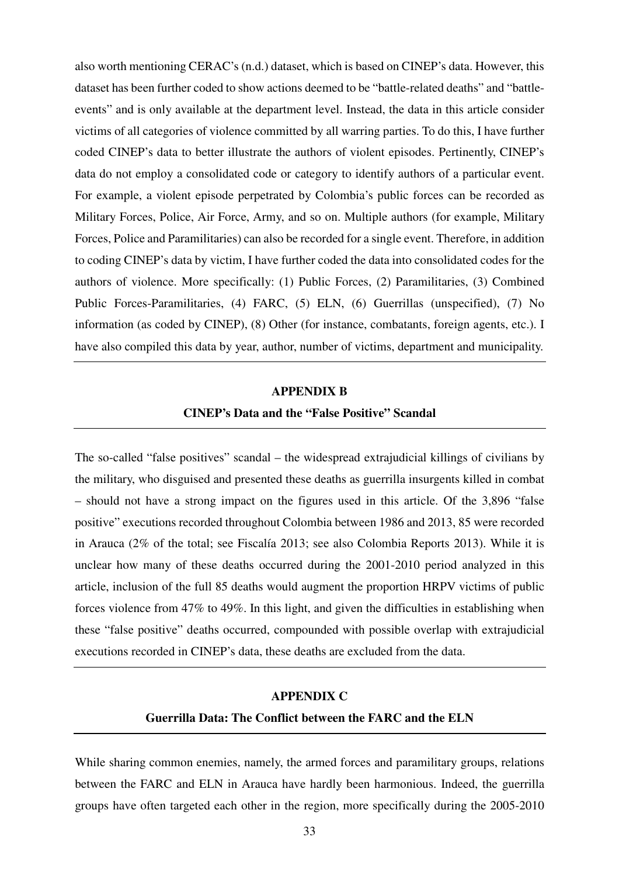also worth mentioning CERAC's (n.d.) dataset, which is based on CINEP's data. However, this dataset has been further coded to show actions deemed to be "battle-related deaths" and "battleevents" and is only available at the department level. Instead, the data in this article consider victims of all categories of violence committed by all warring parties. To do this, I have further coded CINEP's data to better illustrate the authors of violent episodes. Pertinently, CINEP's data do not employ a consolidated code or category to identify authors of a particular event. For example, a violent episode perpetrated by Colombia's public forces can be recorded as Military Forces, Police, Air Force, Army, and so on. Multiple authors (for example, Military Forces, Police and Paramilitaries) can also be recorded for a single event. Therefore, in addition to coding CINEP's data by victim, I have further coded the data into consolidated codes for the authors of violence. More specifically: (1) Public Forces, (2) Paramilitaries, (3) Combined Public Forces-Paramilitaries, (4) FARC, (5) ELN, (6) Guerrillas (unspecified), (7) No information (as coded by CINEP), (8) Other (for instance, combatants, foreign agents, etc.). I have also compiled this data by year, author, number of victims, department and municipality.

#### **APPENDIX B**

#### **CINEP's Data and the "False Positive" Scandal**

The so-called "false positives" scandal – the widespread extrajudicial killings of civilians by the military, who disguised and presented these deaths as guerrilla insurgents killed in combat – should not have a strong impact on the figures used in this article. Of the 3,896 "false positive" executions recorded throughout Colombia between 1986 and 2013, 85 were recorded in Arauca (2% of the total; see Fiscalía 2013; see also Colombia Reports 2013). While it is unclear how many of these deaths occurred during the 2001-2010 period analyzed in this article, inclusion of the full 85 deaths would augment the proportion HRPV victims of public forces violence from 47% to 49%. In this light, and given the difficulties in establishing when these "false positive" deaths occurred, compounded with possible overlap with extrajudicial executions recorded in CINEP's data, these deaths are excluded from the data.

#### **APPENDIX C**

#### **Guerrilla Data: The Conflict between the FARC and the ELN**

While sharing common enemies, namely, the armed forces and paramilitary groups, relations between the FARC and ELN in Arauca have hardly been harmonious. Indeed, the guerrilla groups have often targeted each other in the region, more specifically during the 2005-2010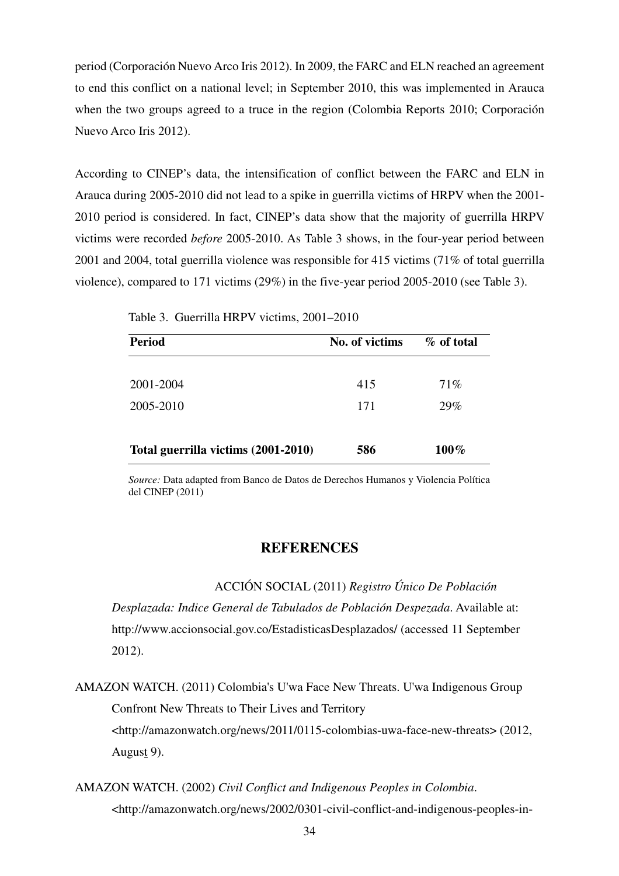period (Corporación Nuevo Arco Iris 2012). In 2009, the FARC and ELN reached an agreement to end this conflict on a national level; in September 2010, this was implemented in Arauca when the two groups agreed to a truce in the region (Colombia Reports 2010; Corporación Nuevo Arco Iris 2012).

According to CINEP's data, the intensification of conflict between the FARC and ELN in Arauca during 2005-2010 did not lead to a spike in guerrilla victims of HRPV when the 2001- 2010 period is considered. In fact, CINEP's data show that the majority of guerrilla HRPV victims were recorded *before* 2005-2010. As Table 3 shows, in the four-year period between 2001 and 2004, total guerrilla violence was responsible for 415 victims (71% of total guerrilla violence), compared to 171 victims (29%) in the five-year period 2005-2010 (see Table 3).

| <b>Period</b>                       | No. of victims | % of total |
|-------------------------------------|----------------|------------|
| 2001-2004                           | 415            | 71%        |
| 2005-2010                           | 171            | 29%        |
| Total guerrilla victims (2001-2010) | 586            | $100\%$    |

|  | Table 3. Guerrilla HRPV victims, 2001–2010 |  |  |  |  |
|--|--------------------------------------------|--|--|--|--|
|--|--------------------------------------------|--|--|--|--|

*Source:* Data adapted from Banco de Datos de Derechos Humanos y Violencia Política del CINEP (2011)

#### **REFERENCES**

 ACCIÓN SOCIAL (2011) *Registro Único De Población Desplazada: Indice General de Tabulados de Población Despezada*. Available at:

http://www.accionsocial.gov.co/EstadisticasDesplazados/ (accessed 11 September 2012).

AMAZON WATCH. (2011) Colombia's U'wa Face New Threats. U'wa Indigenous Group Confront New Threats to Their Lives and Territory <http://amazonwatch.org/news/2011/0115-colombias-uwa-face-new-threats> (2012, August 9).

AMAZON WATCH. (2002) *Civil Conflict and Indigenous Peoples in Colombia*. <http://amazonwatch.org/news/2002/0301-civil-conflict-and-indigenous-peoples-in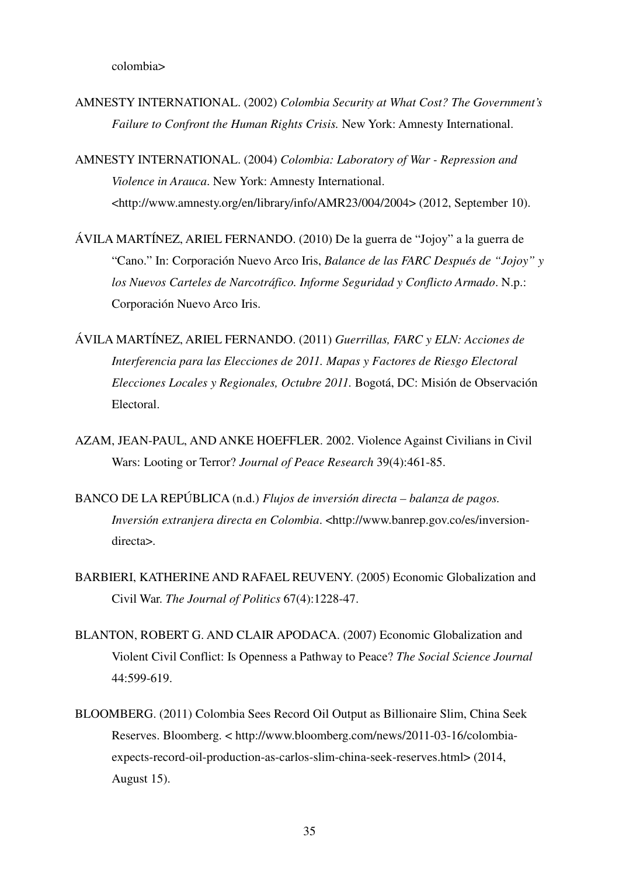colombia>

AMNESTY INTERNATIONAL. (2002) *Colombia Security at What Cost? The Government's Failure to Confront the Human Rights Crisis.* New York: Amnesty International.

AMNESTY INTERNATIONAL. (2004) *Colombia: Laboratory of War - Repression and Violence in Arauca*. New York: Amnesty International. <http://www.amnesty.org/en/library/info/AMR23/004/2004> (2012, September 10).

ÁVILA MARTÍNEZ, ARIEL FERNANDO. (2010) De la guerra de "Jojoy" a la guerra de "Cano." In: Corporación Nuevo Arco Iris, *Balance de las FARC Después de "Jojoy" y los Nuevos Carteles de Narcotráfico. Informe Seguridad y Conflicto Armado*. N.p.: Corporación Nuevo Arco Iris.

ÁVILA MARTÍNEZ, ARIEL FERNANDO. (2011) *Guerrillas, FARC y ELN: Acciones de Interferencia para las Elecciones de 2011. Mapas y Factores de Riesgo Electoral Elecciones Locales y Regionales, Octubre 2011.* Bogotá, DC: Misión de Observación Electoral.

AZAM, JEAN-PAUL, AND ANKE HOEFFLER. 2002. Violence Against Civilians in Civil Wars: Looting or Terror? *Journal of Peace Research* 39(4):461-85.

- BANCO DE LA REPÚBLICA (n.d.) *Flujos de inversión directa balanza de pagos. Inversión extranjera directa en Colombia.* <http://www.banrep.gov.co/es/inversiondirecta>.
- BARBIERI, KATHERINE AND RAFAEL REUVENY. (2005) Economic Globalization and Civil War. *The Journal of Politics* 67(4):1228-47.
- BLANTON, ROBERT G. AND CLAIR APODACA. (2007) Economic Globalization and Violent Civil Conflict: Is Openness a Pathway to Peace? *The Social Science Journal*  44:599-619.
- BLOOMBERG. (2011) Colombia Sees Record Oil Output as Billionaire Slim, China Seek Reserves. Bloomberg. < http://www.bloomberg.com/news/2011-03-16/colombiaexpects-record-oil-production-as-carlos-slim-china-seek-reserves.html> (2014, August 15).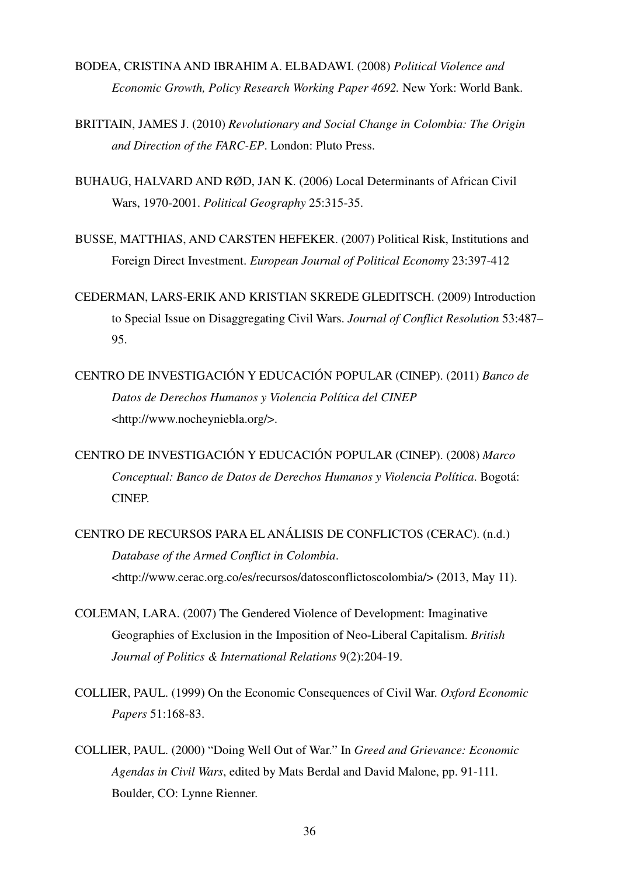- BODEA, CRISTINA AND IBRAHIM A. ELBADAWI. (2008) *Political Violence and Economic Growth, Policy Research Working Paper 4692.* New York: World Bank.
- BRITTAIN, JAMES J. (2010) *Revolutionary and Social Change in Colombia: The Origin and Direction of the FARC-EP*. London: Pluto Press.
- BUHAUG, HALVARD AND RØD, JAN K. (2006) Local Determinants of African Civil Wars, 1970-2001. *Political Geography* 25:315-35.
- BUSSE, MATTHIAS, AND CARSTEN HEFEKER. (2007) Political Risk, Institutions and Foreign Direct Investment. *European Journal of Political Economy* 23:397-412
- CEDERMAN, LARS-ERIK AND KRISTIAN SKREDE GLEDITSCH. (2009) Introduction to Special Issue on Disaggregating Civil Wars. *Journal of Conflict Resolution* 53:487– 95.
- CENTRO DE INVESTIGACIÓN Y EDUCACIÓN POPULAR (CINEP). (2011) *Banco de Datos de Derechos Humanos y Violencia Política del CINEP* <http://www.nocheyniebla.org/>.

CENTRO DE INVESTIGACIÓN Y EDUCACIÓN POPULAR (CINEP). (2008) *Marco Conceptual: Banco de Datos de Derechos Humanos y Violencia Política*. Bogotá: CINEP.

- CENTRO DE RECURSOS PARA EL ANÁLISIS DE CONFLICTOS (CERAC). (n.d.) *Database of the Armed Conflict in Colombia*. <http://www.cerac.org.co/es/recursos/datosconflictoscolombia/> (2013, May 11).
- COLEMAN, LARA. (2007) The Gendered Violence of Development: Imaginative Geographies of Exclusion in the Imposition of Neo-Liberal Capitalism. *British Journal of Politics & International Relations* 9(2):204-19.
- COLLIER, PAUL. (1999) On the Economic Consequences of Civil War. *Oxford Economic Papers* 51:168-83.
- COLLIER, PAUL. (2000) "Doing Well Out of War." In *Greed and Grievance: Economic Agendas in Civil Wars*, edited by Mats Berdal and David Malone, pp. 91-111*.*  Boulder, CO: Lynne Rienner.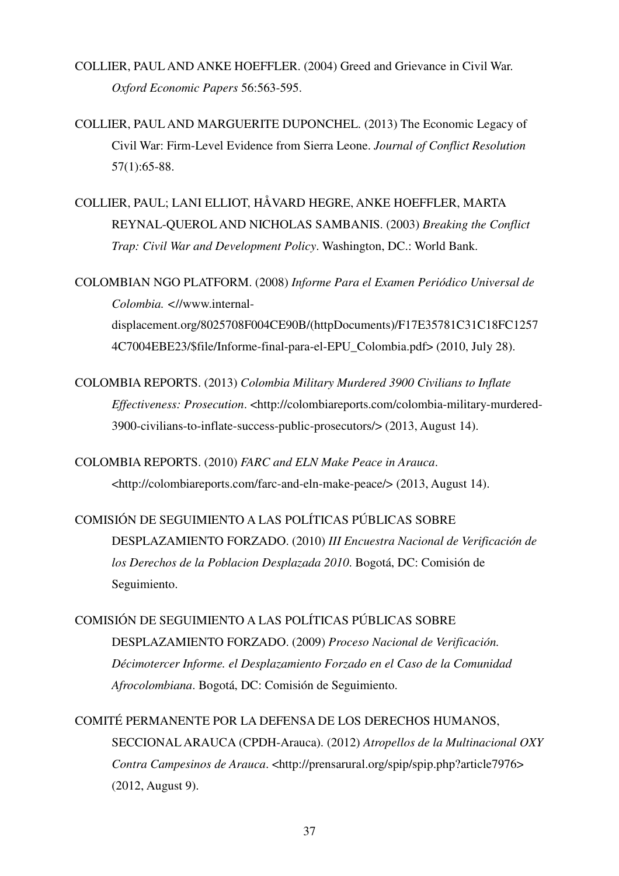- COLLIER, PAUL AND ANKE HOEFFLER. (2004) Greed and Grievance in Civil War. *Oxford Economic Papers* 56:563-595.
- COLLIER, PAUL AND MARGUERITE DUPONCHEL. (2013) The Economic Legacy of Civil War: Firm-Level Evidence from Sierra Leone. *Journal of Conflict Resolution* 57(1):65-88.
- COLLIER, PAUL; LANI ELLIOT, HÅVARD HEGRE, ANKE HOEFFLER, MARTA REYNAL-QUEROL AND NICHOLAS SAMBANIS. (2003) *Breaking the Conflict Trap: Civil War and Development Policy*. Washington, DC.: World Bank.
- COLOMBIAN NGO PLATFORM. (2008) *Informe Para el Examen Periódico Universal de Colombia. <*//www.internaldisplacement.org/8025708F004CE90B/(httpDocuments)/F17E35781C31C18FC1257 4C7004EBE23/\$file/Informe-final-para-el-EPU\_Colombia.pdf> (2010, July 28).
- COLOMBIA REPORTS. (2013) *Colombia Military Murdered 3900 Civilians to Inflate Effectiveness: Prosecution*. <http://colombiareports.com/colombia-military-murdered-3900-civilians-to-inflate-success-public-prosecutors/> (2013, August 14).
- COLOMBIA REPORTS. (2010) *FARC and ELN Make Peace in Arauca*. <http://colombiareports.com/farc-and-eln-make-peace/> (2013, August 14).
- COMISIÓN DE SEGUIMIENTO A LAS POLÍTICAS PÚBLICAS SOBRE DESPLAZAMIENTO FORZADO. (2010) *III Encuestra Nacional de Verificación de los Derechos de la Poblacion Desplazada 2010*. Bogotá, DC: Comisión de Seguimiento.
- COMISIÓN DE SEGUIMIENTO A LAS POLÍTICAS PÚBLICAS SOBRE DESPLAZAMIENTO FORZADO. (2009) *Proceso Nacional de Verificación. Décimotercer Informe. el Desplazamiento Forzado en el Caso de la Comunidad Afrocolombiana*. Bogotá, DC: Comisión de Seguimiento.
- COMITÉ PERMANENTE POR LA DEFENSA DE LOS DERECHOS HUMANOS, SECCIONAL ARAUCA (CPDH-Arauca). (2012) *Atropellos de la Multinacional OXY Contra Campesinos de Arauca*. <http://prensarural.org/spip/spip.php?article7976> (2012, August 9).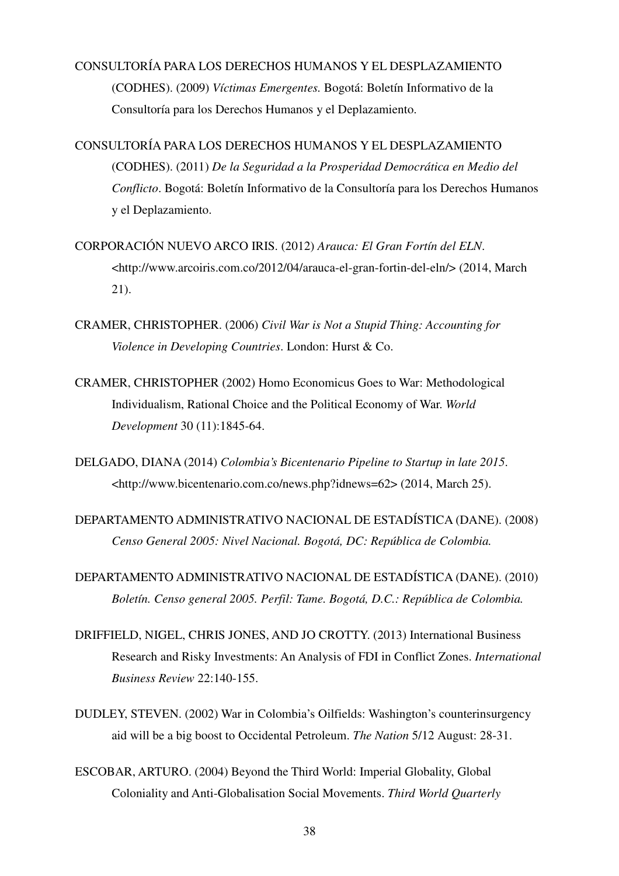## CONSULTORÍA PARA LOS DERECHOS HUMANOS Y EL DESPLAZAMIENTO (CODHES). (2009) *Víctimas Emergentes.* Bogotá: Boletín Informativo de la Consultoría para los Derechos Humanos y el Deplazamiento.

- CONSULTORÍA PARA LOS DERECHOS HUMANOS Y EL DESPLAZAMIENTO (CODHES). (2011) *De la Seguridad a la Prosperidad Democrática en Medio del Conflicto*. Bogotá: Boletín Informativo de la Consultoría para los Derechos Humanos y el Deplazamiento.
- CORPORACIÓN NUEVO ARCO IRIS. (2012) *Arauca: El Gran Fortín del ELN*. <http://www.arcoiris.com.co/2012/04/arauca-el-gran-fortin-del-eln/> (2014, March 21).
- CRAMER, CHRISTOPHER. (2006) *Civil War is Not a Stupid Thing: Accounting for Violence in Developing Countries*. London: Hurst & Co.
- CRAMER, CHRISTOPHER (2002) Homo Economicus Goes to War: Methodological Individualism, Rational Choice and the Political Economy of War. *World Development* 30 (11):1845-64.

DELGADO, DIANA (2014) *Colombia's Bicentenario Pipeline to Startup in late 2015*. <http://www.bicentenario.com.co/news.php?idnews=62> (2014, March 25).

DEPARTAMENTO ADMINISTRATIVO NACIONAL DE ESTADÍSTICA (DANE). (2008) *Censo General 2005: Nivel Nacional. Bogotá, DC: República de Colombia.* 

- DEPARTAMENTO ADMINISTRATIVO NACIONAL DE ESTADÍSTICA (DANE). (2010) *Boletín. Censo general 2005. Perfil: Tame. Bogotá, D.C.: República de Colombia.*
- DRIFFIELD, NIGEL, CHRIS JONES, AND JO CROTTY. (2013) International Business Research and Risky Investments: An Analysis of FDI in Conflict Zones. *International Business Review* 22:140-155.
- DUDLEY, STEVEN. (2002) War in Colombia's Oilfields: Washington's counterinsurgency aid will be a big boost to Occidental Petroleum. *The Nation* 5/12 August: 28-31.
- ESCOBAR, ARTURO. (2004) Beyond the Third World: Imperial Globality, Global Coloniality and Anti-Globalisation Social Movements. *Third World Quarterly*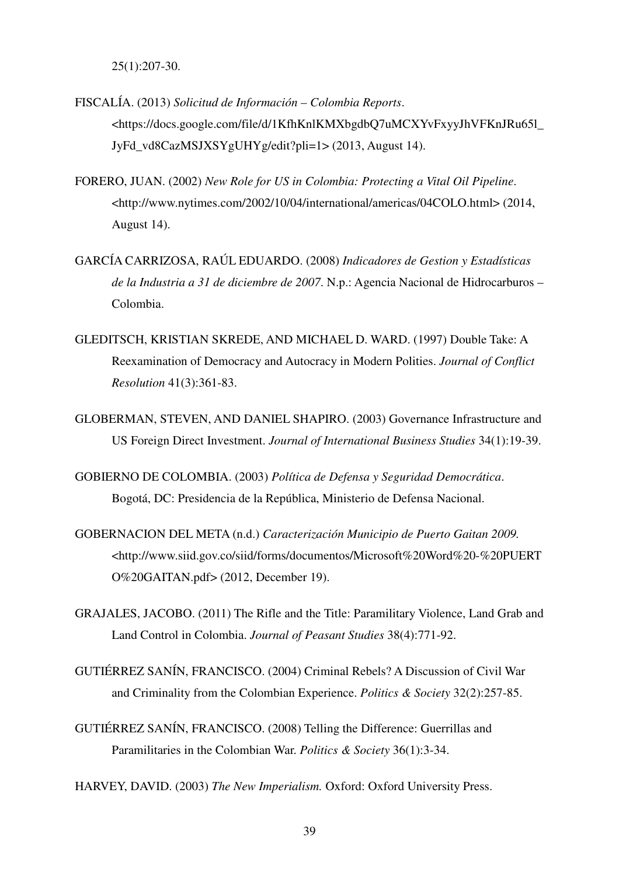25(1):207-30.

- FISCALÍA. (2013) *Solicitud de Información Colombia Reports*. <https://docs.google.com/file/d/1KfhKnlKMXbgdbQ7uMCXYvFxyyJhVFKnJRu65l\_ JyFd\_vd8CazMSJXSYgUHYg/edit?pli=1> (2013, August 14).
- FORERO, JUAN. (2002) *New Role for US in Colombia: Protecting a Vital Oil Pipeline*. <http://www.nytimes.com/2002/10/04/international/americas/04COLO.html> (2014, August 14).
- GARCÍA CARRIZOSA, RAÚL EDUARDO. (2008) *Indicadores de Gestion y Estadísticas de la Industria a 31 de diciembre de 2007*. N.p.: Agencia Nacional de Hidrocarburos – Colombia.
- GLEDITSCH, KRISTIAN SKREDE, AND MICHAEL D. WARD. (1997) Double Take: A Reexamination of Democracy and Autocracy in Modern Polities. *Journal of Conflict Resolution* 41(3):361-83.
- GLOBERMAN, STEVEN, AND DANIEL SHAPIRO. (2003) Governance Infrastructure and US Foreign Direct Investment. *Journal of International Business Studies* 34(1):19-39.
- GOBIERNO DE COLOMBIA. (2003) *Política de Defensa y Seguridad Democrática*. Bogotá, DC: Presidencia de la República, Ministerio de Defensa Nacional.
- GOBERNACION DEL META (n.d.) *Caracterización Municipio de Puerto Gaitan 2009.* <http://www.siid.gov.co/siid/forms/documentos/Microsoft%20Word%20-%20PUERT O%20GAITAN.pdf> (2012, December 19).
- GRAJALES, JACOBO. (2011) The Rifle and the Title: Paramilitary Violence, Land Grab and Land Control in Colombia. *Journal of Peasant Studies* 38(4):771-92.
- GUTIÉRREZ SANÍN, FRANCISCO. (2004) Criminal Rebels? A Discussion of Civil War and Criminality from the Colombian Experience. *Politics & Society* 32(2):257-85.
- GUTIÉRREZ SANÍN, FRANCISCO. (2008) Telling the Difference: Guerrillas and Paramilitaries in the Colombian War. *Politics & Society* 36(1):3-34.

HARVEY, DAVID. (2003) *The New Imperialism.* Oxford: Oxford University Press.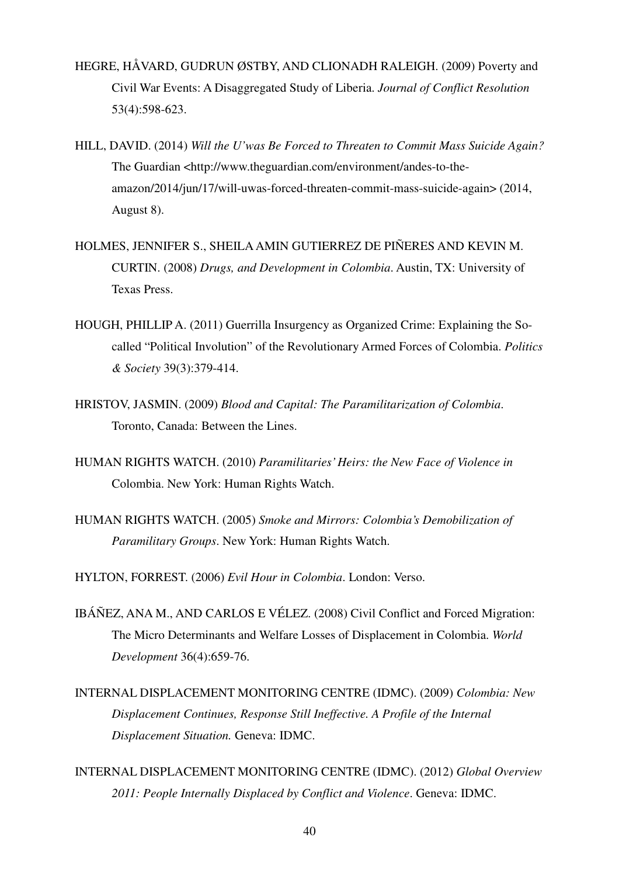- HEGRE, HÅVARD, GUDRUN ØSTBY, AND CLIONADH RALEIGH. (2009) Poverty and Civil War Events: A Disaggregated Study of Liberia. *Journal of Conflict Resolution* 53(4):598-623.
- HILL, DAVID. (2014) *Will the U'was Be Forced to Threaten to Commit Mass Suicide Again?* The Guardian <http://www.theguardian.com/environment/andes-to-theamazon/2014/jun/17/will-uwas-forced-threaten-commit-mass-suicide-again> (2014, August 8).
- HOLMES, JENNIFER S., SHEILA AMIN GUTIERREZ DE PIÑERES AND KEVIN M. CURTIN. (2008) *Drugs, and Development in Colombia*. Austin, TX: University of Texas Press.
- HOUGH, PHILLIP A. (2011) Guerrilla Insurgency as Organized Crime: Explaining the Socalled "Political Involution" of the Revolutionary Armed Forces of Colombia. *Politics & Society* 39(3):379-414.
- HRISTOV, JASMIN. (2009) *Blood and Capital: The Paramilitarization of Colombia*. Toronto, Canada: Between the Lines.
- HUMAN RIGHTS WATCH. (2010) *Paramilitaries' Heirs: the New Face of Violence in*  Colombia. New York: Human Rights Watch.
- HUMAN RIGHTS WATCH. (2005) *Smoke and Mirrors: Colombia's Demobilization of Paramilitary Groups*. New York: Human Rights Watch.
- HYLTON, FORREST. (2006) *Evil Hour in Colombia*. London: Verso.
- IBÁÑEZ, ANA M., AND CARLOS E VÉLEZ. (2008) Civil Conflict and Forced Migration: The Micro Determinants and Welfare Losses of Displacement in Colombia. *World Development* 36(4):659-76.
- INTERNAL DISPLACEMENT MONITORING CENTRE (IDMC). (2009) *Colombia: New Displacement Continues, Response Still Ineffective. A Profile of the Internal Displacement Situation.* Geneva: IDMC.
- INTERNAL DISPLACEMENT MONITORING CENTRE (IDMC). (2012) *Global Overview 2011: People Internally Displaced by Conflict and Violence*. Geneva: IDMC.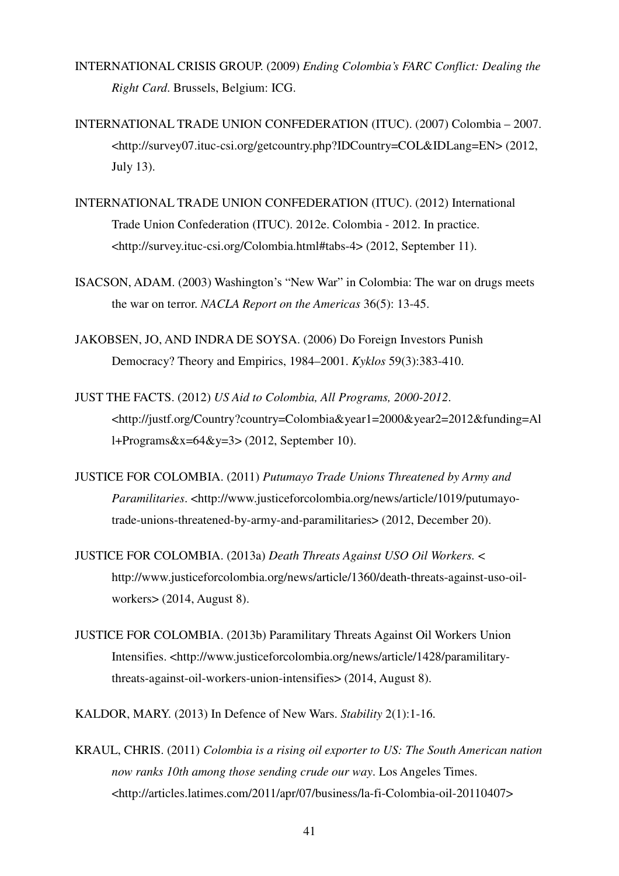- INTERNATIONAL CRISIS GROUP. (2009) *Ending Colombia's FARC Conflict: Dealing the Right Card*. Brussels, Belgium: ICG.
- INTERNATIONAL TRADE UNION CONFEDERATION (ITUC). (2007) Colombia 2007. <http://survey07.ituc-csi.org/getcountry.php?IDCountry=COL&IDLang=EN> (2012, July 13).
- INTERNATIONAL TRADE UNION CONFEDERATION (ITUC). (2012) International Trade Union Confederation (ITUC). 2012e. Colombia - 2012. In practice. <http://survey.ituc-csi.org/Colombia.html#tabs-4> (2012, September 11).
- ISACSON, ADAM. (2003) Washington's "New War" in Colombia: The war on drugs meets the war on terror. *NACLA Report on the Americas* 36(5): 13-45.
- JAKOBSEN, JO, AND INDRA DE SOYSA. (2006) Do Foreign Investors Punish Democracy? Theory and Empirics, 1984–2001. *Kyklos* 59(3):383-410.
- JUST THE FACTS. (2012) *US Aid to Colombia, All Programs, 2000-2012*. <http://justf.org/Country?country=Colombia&year1=2000&year2=2012&funding=Al l+Programs $&x=64&y=3$  (2012, September 10).
- JUSTICE FOR COLOMBIA. (2011) *Putumayo Trade Unions Threatened by Army and Paramilitaries*. <http://www.justiceforcolombia.org/news/article/1019/putumayotrade-unions-threatened-by-army-and-paramilitaries> (2012, December 20).
- JUSTICE FOR COLOMBIA. (2013a) *Death Threats Against USO Oil Workers.* < http://www.justiceforcolombia.org/news/article/1360/death-threats-against-uso-oilworkers> (2014, August 8).
- JUSTICE FOR COLOMBIA. (2013b) Paramilitary Threats Against Oil Workers Union Intensifies. <http://www.justiceforcolombia.org/news/article/1428/paramilitarythreats-against-oil-workers-union-intensifies> (2014, August 8).

KALDOR, MARY. (2013) In Defence of New Wars. *Stability* 2(1):1-16.

KRAUL, CHRIS. (2011) *Colombia is a rising oil exporter to US: The South American nation now ranks 10th among those sending crude our way*. Los Angeles Times. <http://articles.latimes.com/2011/apr/07/business/la-fi-Colombia-oil-20110407>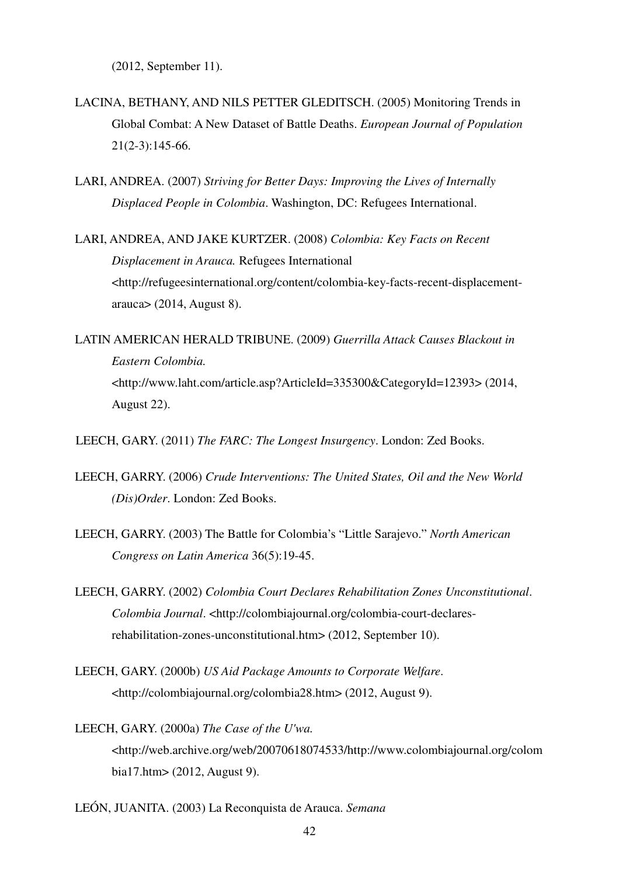(2012, September 11).

- LACINA, BETHANY, AND NILS PETTER GLEDITSCH. (2005) Monitoring Trends in Global Combat: A New Dataset of Battle Deaths. *European Journal of Population*  21(2-3):145-66.
- LARI, ANDREA. (2007) *Striving for Better Days: Improving the Lives of Internally Displaced People in Colombia*. Washington, DC: Refugees International.
- LARI, ANDREA, AND JAKE KURTZER. (2008) *Colombia: Key Facts on Recent Displacement in Arauca.* Refugees International <http://refugeesinternational.org/content/colombia-key-facts-recent-displacementarauca> (2014, August 8).
- LATIN AMERICAN HERALD TRIBUNE. (2009) *Guerrilla Attack Causes Blackout in Eastern Colombia.*  <http://www.laht.com/article.asp?ArticleId=335300&CategoryId=12393> (2014, August 22).

LEECH, GARY. (2011) *The FARC: The Longest Insurgency*. London: Zed Books.

- LEECH, GARRY. (2006) *Crude Interventions: The United States, Oil and the New World (Dis)Order*. London: Zed Books.
- LEECH, GARRY. (2003) The Battle for Colombia's "Little Sarajevo." *North American Congress on Latin America* 36(5):19-45.
- LEECH, GARRY. (2002) *Colombia Court Declares Rehabilitation Zones Unconstitutional*. *Colombia Journal*. <http://colombiajournal.org/colombia-court-declaresrehabilitation-zones-unconstitutional.htm> (2012, September 10).
- LEECH, GARY. (2000b) *US Aid Package Amounts to Corporate Welfare*. <http://colombiajournal.org/colombia28.htm> (2012, August 9).
- LEECH, GARY. (2000a) *The Case of the U'wa.* <http://web.archive.org/web/20070618074533/http://www.colombiajournal.org/colom bia17.htm> (2012, August 9).
- LEÓN, JUANITA. (2003) La Reconquista de Arauca. *Semana*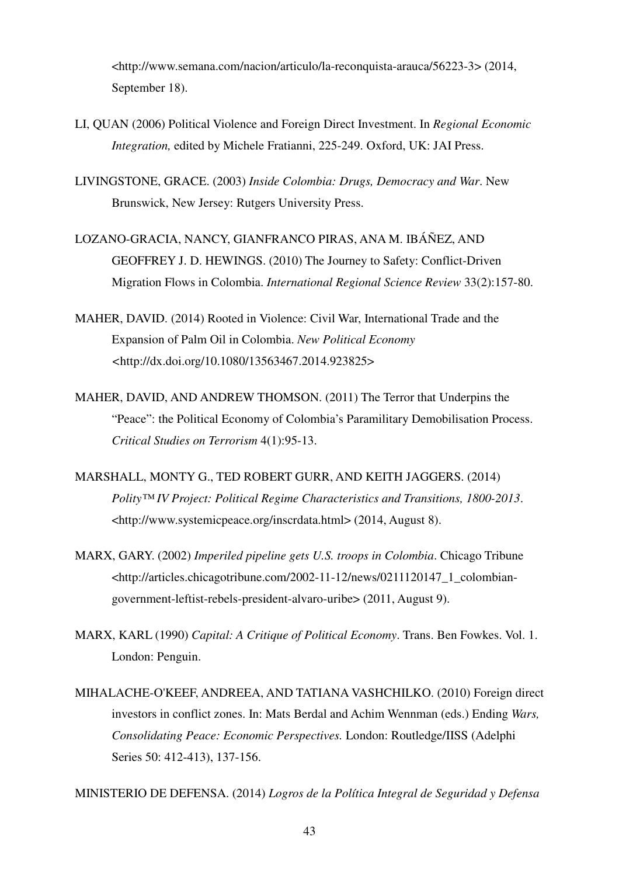<http://www.semana.com/nacion/articulo/la-reconquista-arauca/56223-3> (2014, September 18).

- LI, QUAN (2006) Political Violence and Foreign Direct Investment. In *Regional Economic Integration,* edited by Michele Fratianni, 225-249. Oxford, UK: JAI Press.
- LIVINGSTONE, GRACE. (2003) *Inside Colombia: Drugs, Democracy and War*. New Brunswick, New Jersey: Rutgers University Press.
- LOZANO-GRACIA, NANCY, GIANFRANCO PIRAS, ANA M. IBÁÑEZ, AND GEOFFREY J. D. HEWINGS. (2010) The Journey to Safety: Conflict-Driven Migration Flows in Colombia. *International Regional Science Review* 33(2):157-80.
- MAHER, DAVID. (2014) Rooted in Violence: Civil War, International Trade and the Expansion of Palm Oil in Colombia. *New Political Economy <*http://dx.doi.org/10.1080/13563467.2014.923825>
- MAHER, DAVID, AND ANDREW THOMSON. (2011) The Terror that Underpins the "Peace": the Political Economy of Colombia's Paramilitary Demobilisation Process. *Critical Studies on Terrorism* 4(1):95-13.
- MARSHALL, MONTY G., TED ROBERT GURR, AND KEITH JAGGERS. (2014) *Polity™ IV Project: Political Regime Characteristics and Transitions, 1800-2013*. <http://www.systemicpeace.org/inscrdata.html> (2014, August 8).
- MARX, GARY. (2002) *Imperiled pipeline gets U.S. troops in Colombia*. Chicago Tribune <http://articles.chicagotribune.com/2002-11-12/news/0211120147\_1\_colombiangovernment-leftist-rebels-president-alvaro-uribe> (2011, August 9).
- MARX, KARL (1990) *Capital: A Critique of Political Economy*. Trans. Ben Fowkes. Vol. 1. London: Penguin.
- MIHALACHE-O'KEEF, ANDREEA, AND TATIANA VASHCHILKO. (2010) Foreign direct investors in conflict zones. In: Mats Berdal and Achim Wennman (eds.) Ending *Wars, Consolidating Peace: Economic Perspectives.* London: Routledge/IISS (Adelphi Series 50: 412-413), 137-156.

MINISTERIO DE DEFENSA. (2014) *Logros de la Política Integral de Seguridad y Defensa*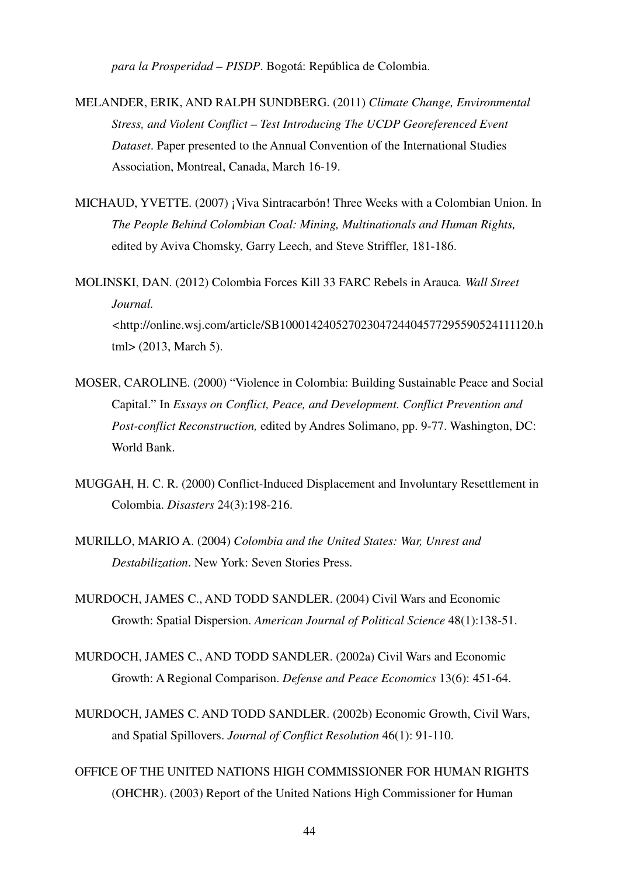*para la Prosperidad – PISDP*. Bogotá: República de Colombia.

- MELANDER, ERIK, AND RALPH SUNDBERG. (2011) *Climate Change, Environmental Stress, and Violent Conflict – Test Introducing The UCDP Georeferenced Event Dataset*. Paper presented to the Annual Convention of the International Studies Association, Montreal, Canada, March 16-19.
- MICHAUD, YVETTE. (2007) ¡Viva Sintracarbón! Three Weeks with a Colombian Union. In *The People Behind Colombian Coal: Mining, Multinationals and Human Rights,*  edited by Aviva Chomsky, Garry Leech, and Steve Striffler, 181-186.
- MOLINSKI, DAN. (2012) Colombia Forces Kill 33 FARC Rebels in Arauca*. Wall Street Journal. <*http://online.wsj.com/article/SB10001424052702304724404577295590524111120.h tml> (2013, March 5).
- MOSER, CAROLINE. (2000) "Violence in Colombia: Building Sustainable Peace and Social Capital." In *Essays on Conflict, Peace, and Development. Conflict Prevention and Post-conflict Reconstruction,* edited by Andres Solimano, pp. 9-77. Washington, DC: World Bank.
- MUGGAH, H. C. R. (2000) Conflict-Induced Displacement and Involuntary Resettlement in Colombia. *Disasters* 24(3):198-216.
- MURILLO, MARIO A. (2004) *Colombia and the United States: War, Unrest and Destabilization*. New York: Seven Stories Press.
- MURDOCH, JAMES C., AND TODD SANDLER. (2004) Civil Wars and Economic Growth: Spatial Dispersion. *American Journal of Political Science* 48(1):138-51.
- MURDOCH, JAMES C., AND TODD SANDLER. (2002a) Civil Wars and Economic Growth: A Regional Comparison. *Defense and Peace Economics* 13(6): 451-64.
- MURDOCH, JAMES C. AND TODD SANDLER. (2002b) Economic Growth, Civil Wars, and Spatial Spillovers. *Journal of Conflict Resolution* 46(1): 91-110.
- OFFICE OF THE UNITED NATIONS HIGH COMMISSIONER FOR HUMAN RIGHTS (OHCHR). (2003) Report of the United Nations High Commissioner for Human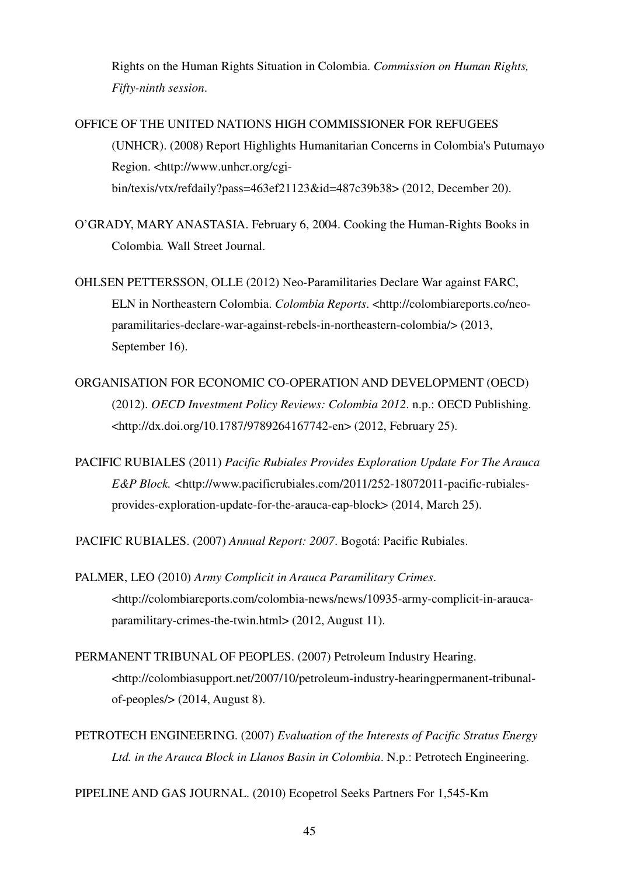Rights on the Human Rights Situation in Colombia. *Commission on Human Rights, Fifty-ninth session*.

OFFICE OF THE UNITED NATIONS HIGH COMMISSIONER FOR REFUGEES (UNHCR). (2008) Report Highlights Humanitarian Concerns in Colombia's Putumayo Region. <http://www.unhcr.org/cgibin/texis/vtx/refdaily?pass=463ef21123&id=487c39b38> (2012, December 20).

- O'GRADY, MARY ANASTASIA. February 6, 2004. Cooking the Human-Rights Books in Colombia*.* Wall Street Journal.
- OHLSEN PETTERSSON, OLLE (2012) Neo-Paramilitaries Declare War against FARC, ELN in Northeastern Colombia. *Colombia Reports*. <http://colombiareports.co/neoparamilitaries-declare-war-against-rebels-in-northeastern-colombia/> (2013, September 16).
- ORGANISATION FOR ECONOMIC CO-OPERATION AND DEVELOPMENT (OECD) (2012). *OECD Investment Policy Reviews: Colombia 2012*. n.p.: OECD Publishing. <http://dx.doi.org/10.1787/9789264167742-en> (2012, February 25).
- PACIFIC RUBIALES (2011) *Pacific Rubiales Provides Exploration Update For The Arauca E&P Block. <*http://www.pacificrubiales.com/2011/252-18072011-pacific-rubialesprovides-exploration-update-for-the-arauca-eap-block> (2014, March 25).

PACIFIC RUBIALES. (2007) *Annual Report: 2007*. Bogotá: Pacific Rubiales.

- PALMER, LEO (2010) *Army Complicit in Arauca Paramilitary Crimes*. <http://colombiareports.com/colombia-news/news/10935-army-complicit-in-araucaparamilitary-crimes-the-twin.html> (2012, August 11).
- PERMANENT TRIBUNAL OF PEOPLES. (2007) Petroleum Industry Hearing. <http://colombiasupport.net/2007/10/petroleum-industry-hearingpermanent-tribunalof-peoples/> (2014, August 8).
- PETROTECH ENGINEERING. (2007) *Evaluation of the Interests of Pacific Stratus Energy Ltd. in the Arauca Block in Llanos Basin in Colombia*. N.p.: Petrotech Engineering.

PIPELINE AND GAS JOURNAL. (2010) Ecopetrol Seeks Partners For 1,545-Km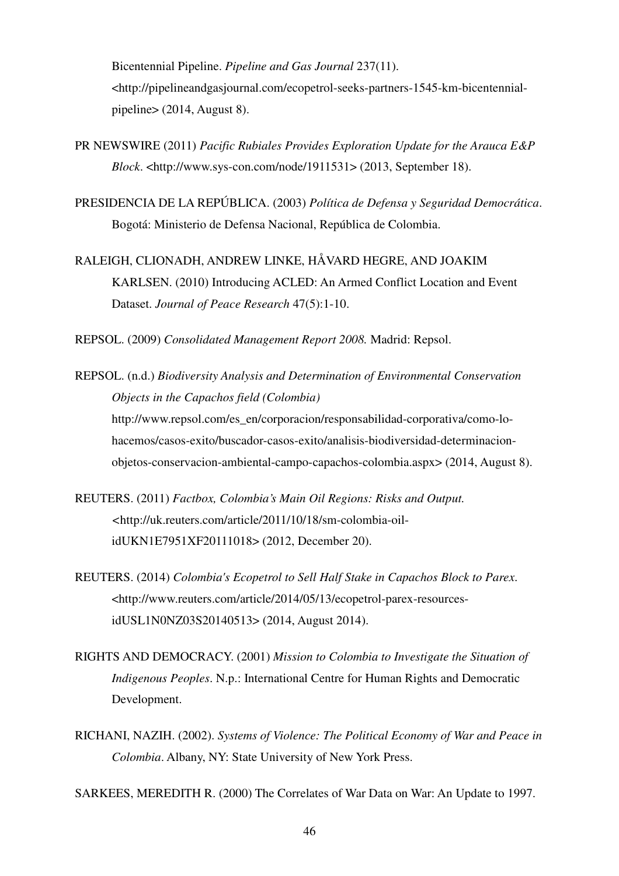Bicentennial Pipeline. *Pipeline and Gas Journal* 237(11). <http://pipelineandgasjournal.com/ecopetrol-seeks-partners-1545-km-bicentennialpipeline> (2014, August 8).

- PR NEWSWIRE (2011) *Pacific Rubiales Provides Exploration Update for the Arauca E&P Block*. <http://www.sys-con.com/node/1911531> (2013, September 18).
- PRESIDENCIA DE LA REPÚBLICA. (2003) *Política de Defensa y Seguridad Democrática*. Bogotá: Ministerio de Defensa Nacional, República de Colombia.
- RALEIGH, CLIONADH, ANDREW LINKE, HÅVARD HEGRE, AND JOAKIM KARLSEN. (2010) Introducing ACLED: An Armed Conflict Location and Event Dataset. *Journal of Peace Research* 47(5):1-10.

REPSOL. (2009) *Consolidated Management Report 2008.* Madrid: Repsol.

- REPSOL. (n.d.) *Biodiversity Analysis and Determination of Environmental Conservation Objects in the Capachos field (Colombia)*  http://www.repsol.com/es\_en/corporacion/responsabilidad-corporativa/como-lohacemos/casos-exito/buscador-casos-exito/analisis-biodiversidad-determinacionobjetos-conservacion-ambiental-campo-capachos-colombia.aspx> (2014, August 8).
- REUTERS. (2011) *Factbox, Colombia's Main Oil Regions: Risks and Output. <*http://uk.reuters.com/article/2011/10/18/sm-colombia-oilidUKN1E7951XF20111018> (2012, December 20).
- REUTERS. (2014) *Colombia's Ecopetrol to Sell Half Stake in Capachos Block to Parex*. <http://www.reuters.com/article/2014/05/13/ecopetrol-parex-resourcesidUSL1N0NZ03S20140513> (2014, August 2014).
- RIGHTS AND DEMOCRACY. (2001) *Mission to Colombia to Investigate the Situation of Indigenous Peoples*. N.p.: International Centre for Human Rights and Democratic Development.
- RICHANI, NAZIH. (2002). *Systems of Violence: The Political Economy of War and Peace in Colombia*. Albany, NY: State University of New York Press.

SARKEES, MEREDITH R. (2000) The Correlates of War Data on War: An Update to 1997.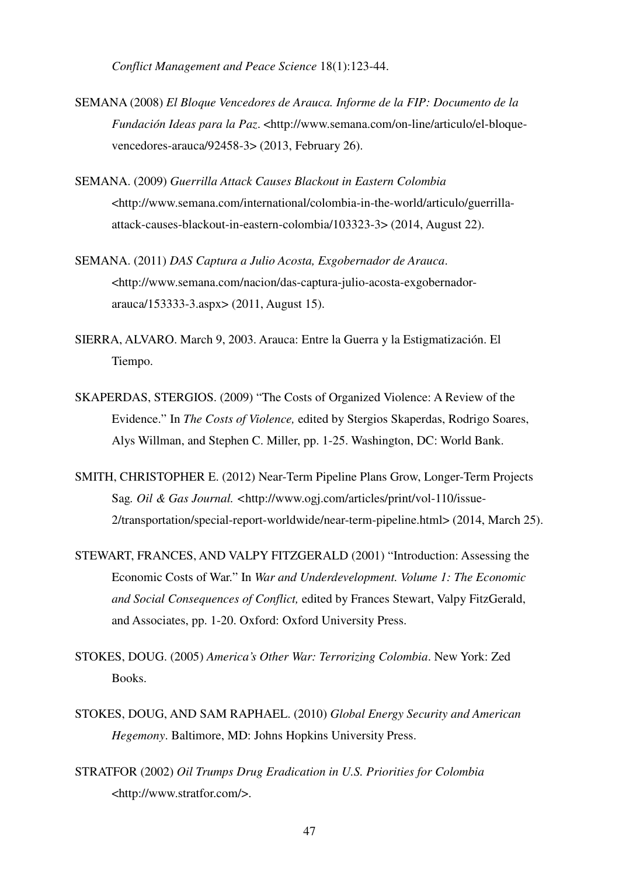*Conflict Management and Peace Science* 18(1):123-44.

- SEMANA (2008) *El Bloque Vencedores de Arauca. Informe de la FIP: Documento de la Fundación Ideas para la Paz*. <http://www.semana.com/on-line/articulo/el-bloquevencedores-arauca/92458-3> (2013, February 26).
- SEMANA. (2009) *Guerrilla Attack Causes Blackout in Eastern Colombia*  <http://www.semana.com/international/colombia-in-the-world/articulo/guerrillaattack-causes-blackout-in-eastern-colombia/103323-3> (2014, August 22).
- SEMANA. (2011) *DAS Captura a Julio Acosta, Exgobernador de Arauca*. <http://www.semana.com/nacion/das-captura-julio-acosta-exgobernadorarauca/153333-3.aspx> (2011, August 15).
- SIERRA, ALVARO. March 9, 2003. Arauca: Entre la Guerra y la Estigmatización. El Tiempo.
- SKAPERDAS, STERGIOS. (2009) "The Costs of Organized Violence: A Review of the Evidence." In *The Costs of Violence,* edited by Stergios Skaperdas, Rodrigo Soares, Alys Willman, and Stephen C. Miller, pp. 1-25. Washington, DC: World Bank.
- SMITH, CHRISTOPHER E. (2012) Near-Term Pipeline Plans Grow, Longer-Term Projects Sag*. Oil & Gas Journal. <*http://www.ogj.com/articles/print/vol-110/issue-2/transportation/special-report-worldwide/near-term-pipeline.html> (2014, March 25).
- STEWART, FRANCES, AND VALPY FITZGERALD (2001) "Introduction: Assessing the Economic Costs of War." In *War and Underdevelopment. Volume 1: The Economic and Social Consequences of Conflict,* edited by Frances Stewart, Valpy FitzGerald, and Associates, pp. 1-20. Oxford: Oxford University Press.
- STOKES, DOUG. (2005) *America's Other War: Terrorizing Colombia*. New York: Zed Books.
- STOKES, DOUG, AND SAM RAPHAEL. (2010) *Global Energy Security and American Hegemony*. Baltimore, MD: Johns Hopkins University Press.
- STRATFOR (2002) *Oil Trumps Drug Eradication in U.S. Priorities for Colombia* <http://www.stratfor.com/>.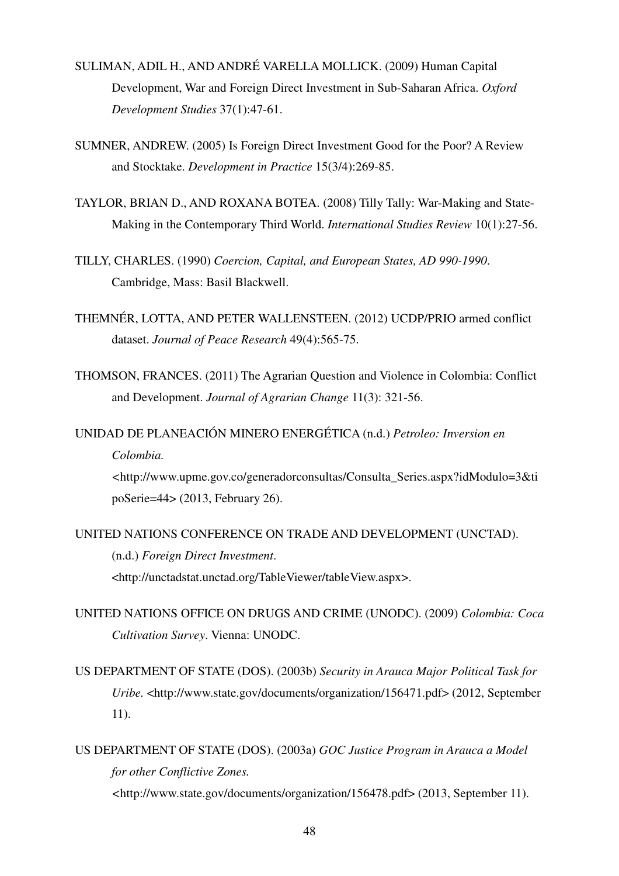- SULIMAN, ADIL H., AND ANDRÉ VARELLA MOLLICK. (2009) Human Capital Development, War and Foreign Direct Investment in Sub-Saharan Africa. *Oxford Development Studies* 37(1):47-61.
- SUMNER, ANDREW. (2005) Is Foreign Direct Investment Good for the Poor? A Review and Stocktake. *Development in Practice* 15(3/4):269-85.
- TAYLOR, BRIAN D., AND ROXANA BOTEA. (2008) Tilly Tally: War-Making and State-Making in the Contemporary Third World. *International Studies Review* 10(1):27-56.
- TILLY, CHARLES. (1990) *Coercion, Capital, and European States, AD 990-1990*. Cambridge, Mass: Basil Blackwell.
- THEMNÉR, LOTTA, AND PETER WALLENSTEEN. (2012) UCDP/PRIO armed conflict dataset. *Journal of Peace Research* 49(4):565-75.
- THOMSON, FRANCES. (2011) The Agrarian Question and Violence in Colombia: Conflict and Development. *Journal of Agrarian Change* 11(3): 321-56.

UNIDAD DE PLANEACIÓN MINERO ENERGÉTICA (n.d.) *Petroleo: Inversion en Colombia. <*http://www.upme.gov.co/generadorconsultas/Consulta\_Series.aspx?idModulo=3&ti poSerie=44> (2013, February 26).

UNITED NATIONS CONFERENCE ON TRADE AND DEVELOPMENT (UNCTAD). (n.d.) *Foreign Direct Investment*. <http://unctadstat.unctad.org/TableViewer/tableView.aspx>.

- UNITED NATIONS OFFICE ON DRUGS AND CRIME (UNODC). (2009) *Colombia: Coca Cultivation Survey*. Vienna: UNODC.
- US DEPARTMENT OF STATE (DOS). (2003b) *Security in Arauca Major Political Task for Uribe.* <http://www.state.gov/documents/organization/156471.pdf> (2012, September 11).
- US DEPARTMENT OF STATE (DOS). (2003a) *GOC Justice Program in Arauca a Model for other Conflictive Zones. <*http://www.state.gov/documents/organization/156478.pdf> (2013, September 11).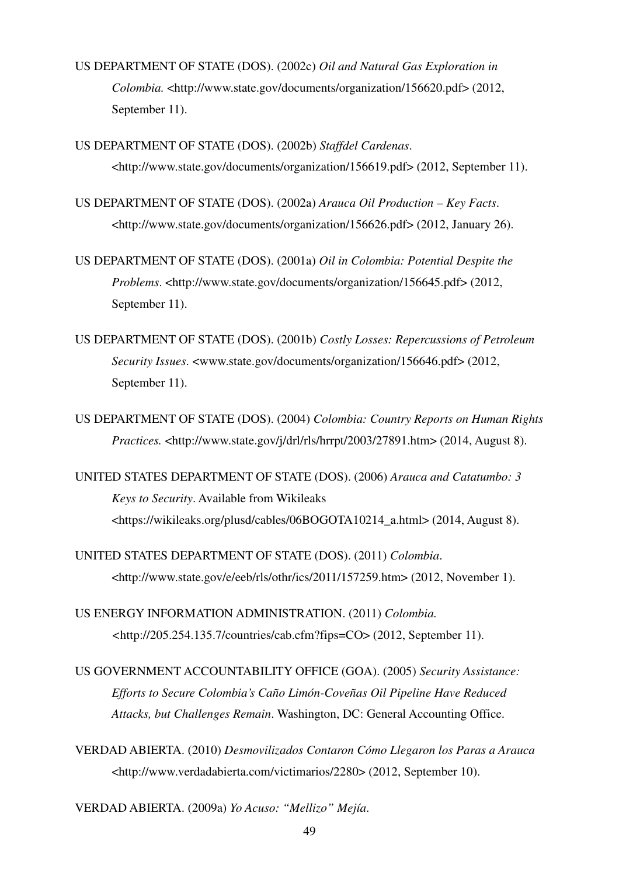- US DEPARTMENT OF STATE (DOS). (2002c) *Oil and Natural Gas Exploration in Colombia.* <http://www.state.gov/documents/organization/156620.pdf> (2012, September 11).
- US DEPARTMENT OF STATE (DOS). (2002b) *Staffdel Cardenas*. <http://www.state.gov/documents/organization/156619.pdf> (2012, September 11).
- US DEPARTMENT OF STATE (DOS). (2002a) *Arauca Oil Production Key Facts*. <http://www.state.gov/documents/organization/156626.pdf> (2012, January 26).
- US DEPARTMENT OF STATE (DOS). (2001a) *Oil in Colombia: Potential Despite the Problems*. <http://www.state.gov/documents/organization/156645.pdf> (2012, September 11).
- US DEPARTMENT OF STATE (DOS). (2001b) *Costly Losses: Repercussions of Petroleum Security Issues*. <www.state.gov/documents/organization/156646.pdf> (2012, September 11).
- US DEPARTMENT OF STATE (DOS). (2004) *Colombia: Country Reports on Human Rights Practices.* <http://www.state.gov/j/drl/rls/hrrpt/2003/27891.htm> (2014, August 8).
- UNITED STATES DEPARTMENT OF STATE (DOS). (2006) *Arauca and Catatumbo: 3 Keys to Security*. Available from Wikileaks <https://wikileaks.org/plusd/cables/06BOGOTA10214\_a.html> (2014, August 8).
- UNITED STATES DEPARTMENT OF STATE (DOS). (2011) *Colombia*. <http://www.state.gov/e/eeb/rls/othr/ics/2011/157259.htm> (2012, November 1).
- US ENERGY INFORMATION ADMINISTRATION. (2011) *Colombia. <*http://205.254.135.7/countries/cab.cfm?fips=CO> (2012, September 11).
- US GOVERNMENT ACCOUNTABILITY OFFICE (GOA). (2005) *Security Assistance: Efforts to Secure Colombia's Caño Limón-Coveñas Oil Pipeline Have Reduced Attacks, but Challenges Remain*. Washington, DC: General Accounting Office.
- VERDAD ABIERTA. (2010) *Desmovilizados Contaron Cómo Llegaron los Paras a Arauca* <http://www.verdadabierta.com/victimarios/2280> (2012, September 10).
- VERDAD ABIERTA. (2009a) *Yo Acuso: "Mellizo" Mejía*.